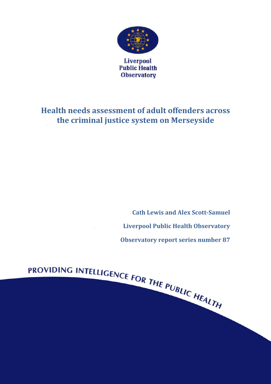

**Liverpool Public Health Observatory** 

# **Health needs assessment of adult offenders across the criminal justice system on Merseyside**

PROVIDING INTELLIGENCE FOR THE PUBLIC HEALTH

**Cath Lewis and Alex Scott-Samuel Liverpool Public Health Observatory Observatory report series number 87**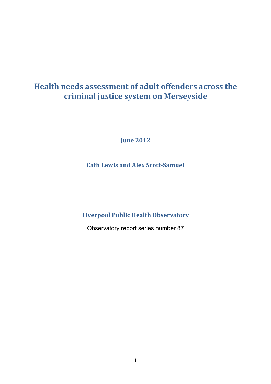# **Health needs assessment of adult offenders across the criminal justice system on Merseyside**

**June 2012** 

**Cath Lewis and Alex Scott-Samuel** 

**Liverpool Public Health Observatory** 

Observatory report series number 87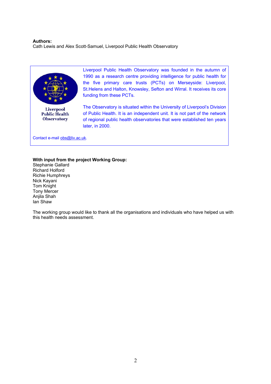#### **Authors:**

Cath Lewis and Alex Scott-Samuel, Liverpool Public Health Observatory



**Public Health Observatory** 

Liverpool Public Health Observatory was founded in the autumn of 1990 as a research centre providing intelligence for public health for the five primary care trusts (PCTs) on Merseyside: Liverpool, St.Helens and Halton, Knowsley, Sefton and Wirral. It receives its core funding from these PCTs.

The Observatory is situated within the University of Liverpool's Division of Public Health. It is an independent unit. It is not part of the network of regional public health observatories that were established ten years later, in 2000.

Contact e-mail obs@liv.ac.uk.

#### **With input from the project Working Group:**

Stephanie Gallard Richard Holford Richie Humphreys Nick Kayani Tom Knight Tony Mercer Anjila Shah Ian Shaw

The working group would like to thank all the organisations and individuals who have helped us with this health needs assessment.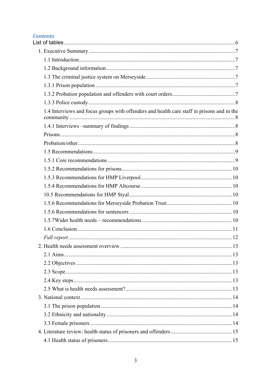## **Contents**

| 1.4 Interviews and focus groups with offenders and health care staff in prisons and in the |  |
|--------------------------------------------------------------------------------------------|--|
|                                                                                            |  |
|                                                                                            |  |
|                                                                                            |  |
|                                                                                            |  |
|                                                                                            |  |
|                                                                                            |  |
|                                                                                            |  |
|                                                                                            |  |
|                                                                                            |  |
|                                                                                            |  |
|                                                                                            |  |
|                                                                                            |  |
|                                                                                            |  |
|                                                                                            |  |
|                                                                                            |  |
|                                                                                            |  |
|                                                                                            |  |
|                                                                                            |  |
|                                                                                            |  |
|                                                                                            |  |
|                                                                                            |  |
|                                                                                            |  |
|                                                                                            |  |
|                                                                                            |  |
|                                                                                            |  |
|                                                                                            |  |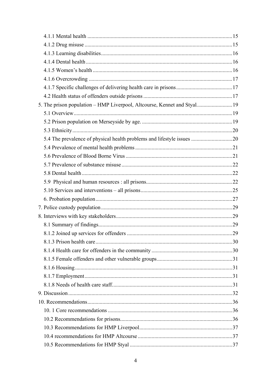| 5. The prison population - HMP Liverpool, Altcourse, Kennet and Styal 19 |  |
|--------------------------------------------------------------------------|--|
|                                                                          |  |
|                                                                          |  |
|                                                                          |  |
|                                                                          |  |
|                                                                          |  |
|                                                                          |  |
|                                                                          |  |
|                                                                          |  |
|                                                                          |  |
|                                                                          |  |
|                                                                          |  |
|                                                                          |  |
|                                                                          |  |
|                                                                          |  |
|                                                                          |  |
|                                                                          |  |
|                                                                          |  |
|                                                                          |  |
|                                                                          |  |
|                                                                          |  |
|                                                                          |  |
|                                                                          |  |
|                                                                          |  |
|                                                                          |  |
|                                                                          |  |
|                                                                          |  |
|                                                                          |  |
|                                                                          |  |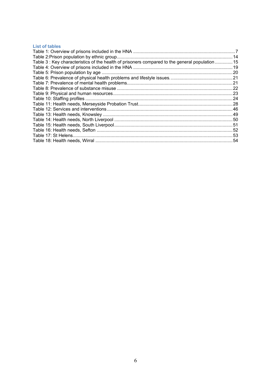## **List of tables**

| Table 3 : Key characteristics of the health of prisoners compared to the general population  15 |  |
|-------------------------------------------------------------------------------------------------|--|
|                                                                                                 |  |
|                                                                                                 |  |
|                                                                                                 |  |
|                                                                                                 |  |
|                                                                                                 |  |
|                                                                                                 |  |
|                                                                                                 |  |
|                                                                                                 |  |
|                                                                                                 |  |
|                                                                                                 |  |
|                                                                                                 |  |
|                                                                                                 |  |
|                                                                                                 |  |
|                                                                                                 |  |
|                                                                                                 |  |
|                                                                                                 |  |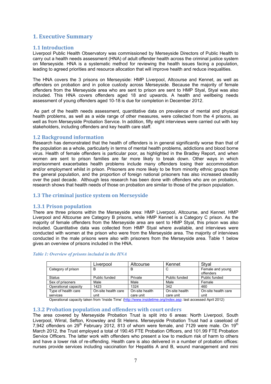## **1. Executive Summary**

## **1.1 Introduction**

Liverpool Public Health Observatory was commissioned by Merseyside Directors of Public Health to carry out a health needs assessment (HNA) of adult offender health across the criminal justice system on Merseyside. HNA is a systematic method for reviewing the health issues facing a population, leading to agreed priorities and resource allocation that will improve health and reduce inequalities.

The HNA covers the 3 prisons on Merseyside: HMP Liverpool, Altcourse and Kennet, as well as offenders on probation and in police custody across Merseyside. Because the majority of female offenders from the Merseyside area who are sent to prison are sent to HMP Styal, Styal was also included. This HNA covers offenders aged 18 and upwards. A health and wellbeing needs assessment of young offenders aged 10-18 is due for completion in December 2012.

 As part of the health needs assessment, quantitative data on prevalence of mental and physical health problems, as well as a wide range of other measures, were collected from the 4 prisons, as well as from Merseyside Probation Service. In addition, fifty eight interviews were carried out with key stakeholders, including offenders and key health care staff.

## **1.2 Background information**

Research has demonstrated that the health of offenders is in general significantly worse than that of the population as a whole, particularly in terms of mental health problems, addictions and blood borne virus. Health of female offenders is particular poor, as highlighted in the Bradley Report, and when women are sent to prison families are far more likely to break down. Other ways in which imprisonment exacerbates health problems include many offenders losing their accommodation and/or employment whilst in prison. Prisoners are more likely to be from minority ethnic groups than the general population, and the proportion of foreign national prisoners has also increased steadily over the past decade. Although less research has been done with offenders who are on probation, research shows that health needs of those on probation are similar to those of the prison population.

## **1.3 The criminal justice system on Merseyside**

## **1.3.1 Prison population**

There are three prisons within the Merseyside area: HMP Liverpool, Altcourse, and Kennet. HMP Liverpool and Altcourse are Category B prisons, while HMP Kennet is a Category C prison. As the majority of female offenders from the Merseyside area are sent to HMP Styal, this prison was also included. Quantitative data was collected from HMP Styal where available, and interviews were conducted with women at the prison who were from the Merseyside area. The majority of interviews conducted in the male prisons were also with prisoners from the Merseyside area. Table 1 below gives an overview of prisons included in the HNA.

|                      | Liverpool           | Altcourse      | Kennet         | Stval                         |
|----------------------|---------------------|----------------|----------------|-------------------------------|
| Category of prison   | в                   | в              | C              | Female and young<br>offenders |
| <b>Status</b>        | Public funded       | Private        | Public funded  | Public funded                 |
| Sex of prisoners     | Male                | Male           | Male           | Female                        |
| Operational capacity | 1423                | 1324           | 342            | 460                           |
| Type of health care  | On-site health care | On-site health | On-site health | On-site health care           |
| services             | unit                | care unit      | care unit      | unit                          |

## *Table 1: Overview of prisons included in the HNA*

Operational capacity taken from 'Inside Time' (http://www.insidetime.org/index.asp: last accessed April 2012)

## **1.3.2 Probation population and offenders with court orders**

The area covered by Merseyside Probation Trust is split into 6 areas: North Liverpool, South Liverpool, Wirral, Sefton, Knowsley and St Helens. Merseyside Probation Trust had a caseload of 7,942 offenders on 29<sup>th</sup> February 2012, 813 of whom were female, and 7129 were male. On 19<sup>th</sup> March 2012, the Trust employed a total of 190.45 FTE Probation Officers, and 101.99 FTE Probation Service Officers. The latter work with offenders who present a low to medium risk of harm to others and have a lower risk of re-offending. Health care is also delivered in a number of probation offices: nurses provide services including vaccination for Hepatitis A and B, wound management and mini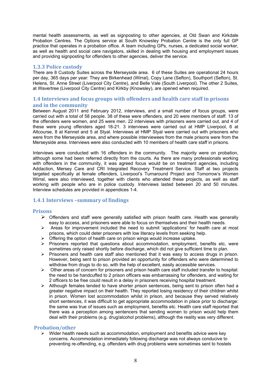mental health assessments, as well as signposting to other agencies, at Old Swan and Kirkdale Probation Centres. The Options service at South Knowsley Probation Centre is the only full GP practice that operates in a probation office. A team including GPs, nurses, a dedicated social worker, as well as health and social care navigators, skilled in dealing with housing and employment issues and providing signposting for offenders to other agencies, deliver the service.

## **1.3.3 Police custody**

There are 8 Custody Suites across the Merseyside area. 6 of these Suites are operational 24 hours per day, 365 days per year: They are Birkenhead (Wirral), Copy Lane (Sefton), Southport (Sefton), St. Helens, St. Anne Street (Liverpool City Centre), and Belle Vale (South Liverpool). The other 2 Suites, at Wavertree (Liverpool City Centre) and Kirkby (Knowsley), are opened when required.

## **1.4 Interviews and focus groups with offenders and health care staff in prisons and in the community**

Between August 2011 and February 2012, interviews, and a small number of focus groups, were carried out with a total of 58 people. 38 of these were offenders, and 20 were members of staff. 13 of the offenders were women, and 25 were men. 22 interviews with prisoners were carried out, and 4 of these were young offenders aged 18-21. 3 interviews were carried out at HMP Liverpool, 6 at Altcourse, 8 at Kennet and 5 at Styal. Interviews at HMP Styal were carried out with prisoners who were from the Merseyside area, and where possible interviewees from the male prisons were from the Merseyside area. Interviews were also conducted with 10 members of health care staff in prisons.

Interviews were conducted with 16 offenders in the community. The majority were on probation, although some had been referred directly from the courts. As there are many professionals working with offenders in the community, it was agreed focus would be on treatment agencies, including Addaction, Mersey Care and CRI Integrated Recovery Treatment Service. Staff at two projects targeted specifically at female offenders, Liverpool's Turnaround Project and Tomorrow's Women Wirral, were also interviewed, together with clients who attended these projects, as well as staff working with people who are in police custody. Interviews lasted between 20 and 50 minutes. Interview schedules are provided in appendices 1-4.

## **1.4.1 Interviews –summary of findings**

## **Prisons**

- $\triangleright$  Offenders and staff were generally satisfied with prison health care. Health was generally easy to access, and prisoners were able to focus on themselves and their health needs.
- $\triangleright$  Areas for improvement included the need to submit 'applications' for health care at most prisons, which could deter prisoners with low literacy levels from seeking help.
- Offering the option of health care on prison wings would increase uptake.
- $\triangleright$  Prisoners reported that questions about accommodation, employment, benefits etc, were sometimes only raised shortly before discharge, which did not give sufficient time to plan.
- $\triangleright$  Prisoners and health care staff also mentioned that it was easy to access drugs in prison. However, being sent to prison provided an opportunity for offenders who were determined to withdraw from drugs to do so, with the help of excellent, easily accessible services.
- $\triangleright$  Other areas of concern for prisoners and prison health care staff included transfer to hospital: the need to be handcuffed to 2 prison officers was embarrassing for offenders, and waiting for 2 officers to be free could result in a delay in prisoners receiving hospital treatment.
- $\triangleright$  Although females tended to have shorter prison sentences, being sent to prison often had a greater negative impact on their health. They reported losing residency of their children whilst in prison. Women lost accommodation whilst in prison, and because they served relatively short sentences, it was difficult to get appropriate accommodation in place prior to discharge: the same was true of issues such as employment, benefits etc. Health care staff reported that there was a perception among sentencers that sending women to prison would help them deal with their problems (e.g. drug/alcohol problems), although the reality was very different.

## **Probation/other**

 $\triangleright$  Wider health needs such as accommodation, employment and benefits advice were key concerns. Accommodation immediately following discharge was not always conducive to preventing re-offending, e.g. offenders with drug problems were sometimes sent to hostels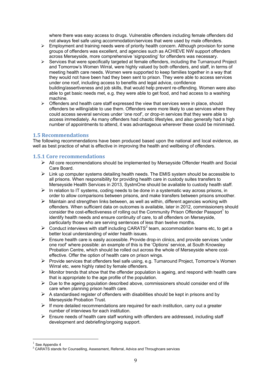where there was easy access to drugs. Vulnerable offenders including female offenders did not always feel safe using accommodation/services that were used by male offenders.

- $\triangleright$  Employment and training needs were of priority health concern. Although provision for some groups of offenders was excellent, and agencies such as ACHIEVE NW support offenders across Merseyside, more comprehensive 'signposting' for offenders was necessary.
- $\triangleright$  Services that were specifically targeted at female offenders, including the Turnaround Project and Tomorrow's Women Wirral, were highly valued by both offenders, and staff, in terms of meeting health care needs. Women were supported to keep families together in a way that they would not have been had they been sent to prison. They were able to access services under one roof, including access to benefits and legal advice, confidence building/assertiveness and job skills, that would help prevent re-offending. Women were also able to get basic needs met, e.g. they were able to get food, and had access to a washing machine.
- $\triangleright$  Offenders and health care staff expressed the view that services were in place, should offenders be willing/able to use them. Offenders were more likely to use services where they could access several services under 'one roof', or drop-in services that they were able to access immediately. As many offenders had chaotic lifestyles, and also generally had a high number of appointments to attend, it was advantageous wherever these could be minimised.

## **1.5 Recommendations**

The following recommendations have been produced based upon the national and local evidence, as well as best practice of what is effective in improving the health and wellbeing of offenders.

## **1.5.1 Core recommendations**

- $\triangleright$  All core recommendations should be implemented by Merseyside Offender Health and Social Care Board.
- $\triangleright$  Link up computer systems detailing health needs. The EMIS system should be accessible to all prisons. When responsibility for providing health care in custody suites transfers to Merseyside Health Services in 2013, SystmOne should be available to custody health staff.
- $\triangleright$  In relation to IT systems, coding needs to be done in a systematic way across prisons, in order to allow comparisons between prisons, and make transfers between prisons smoother.
- $\triangleright$  Maintain and strengthen links between, as well as within, different agencies working with offenders. When sufficient data on outcomes is available, later in 2012, commissioners should consider the cost-effectiveness of rolling out the Community Prison Offender Passport<sup>1</sup> to identify health needs and ensure continuity of care, to all offenders on Merseyside, particularly those who are serving sentences of less than twelve months.
- $\triangleright$  Conduct interviews with staff including CARATS<sup>2</sup> team, accommodation teams etc, to get a better local understanding of wider health issues.
- $\triangleright$  Ensure health care is easily accessible. Provide drop-in clinics, and provide services 'under one roof' where possible: an example of this is the 'Options' service, at South Knowsley Probation Centre, which should be rolled out across the whole of Merseyside where costeffective. Offer the option of health care on prison wings.
- $\triangleright$  Provide services that offenders feel safe using, e.g. Turnaround Project, Tomorrow's Women Wirral etc, were highly rated by female offenders.
- $\triangleright$  Monitor trends that show that the offender population is ageing, and respond with health care that is appropriate to the age profile of the population.
- $\triangleright$  Due to the ageing population described above, commissioners should consider end of life care when planning prison health care.
- $\triangleright$  A standardised register of offenders with disabilities should be kept in prisons and by Merseyside Probation Trust.
- $\triangleright$  If more detailed recommendations are required for each institution, carry out a greater number of interviews for each institution.
- $\triangleright$  Ensure needs of health care staff working with offenders are addressed, including staff development and debriefing/ongoing support.

See Appendix 4

 $2^{2}$  CARATS stands for Counselling, Assessment, Referral, Advice and Throughcare services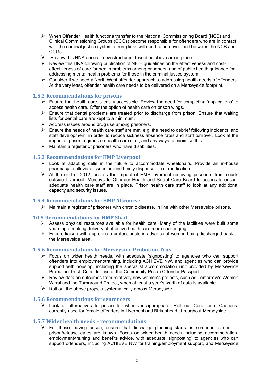- $\triangleright$  When Offender Health functions transfer to the National Commissioning Board (NCB) and Clinical Commissioning Groups (CCGs) become responsible for offenders who are in contact with the criminal justice system, strong links will need to be developed between the NCB and CCGs.
- Experiew this HNA once all new structures described above are in place.<br>
Experiew this HNA following publication of NICE quidelines on the effective
- ¾ Review this HNA following publication of NICE guidelines on the effectiveness and costeffectiveness of care for health problems among prisoners, and of public health guidance for addressing mental health problems for those in the criminal justice system.
- $\triangleright$  Consider if we need a North West offender approach to addressing health needs of offenders. At the very least, offender health care needs to be delivered on a Merseyside footprint.

## **1.5.2 Recommendations for prisons**

- $\triangleright$  Ensure that health care is easily accessible. Review the need for completing 'applications' to access health care. Offer the option of health care on prison wings.
- $\triangleright$  Ensure that dental problems are treated prior to discharge from prison. Ensure that waiting lists for dental care are kept to a minimum.
- $\triangleright$  Address issues around drug use among prisoners.
- $\triangleright$  Ensure the needs of health care staff are met, e.g. the need to debrief following incidents, and staff development, in order to reduce sickness absence rates and staff turnover. Look at the impact of prison regimes on health care staff, and any ways to minimise this.
- $\triangleright$  Maintain a register of prisoners who have disabilities.

## **1.5.3 Recommendations for HMP Liverpool**

- $\triangleright$  Look at adapting cells in the future to accommodate wheelchairs. Provide an in-house pharmacy to alleviate issues around timely dispensation of medication.
- $\triangleright$  At the end of 2012, assess the impact of HMP Liverpool receiving prisoners from courts outside Liverpool. Merseyside Offender Health and Social Care Board to assess to ensure adequate health care staff are in place. Prison health care staff to look at any additional capacity and security issues.

## **1.5.4 Recommendations for HMP Altcourse**

 $\triangleright$  Maintain a register of prisoners with chronic disease, in line with other Merseyside prisons.

## **10.5 Recommendations for HMP Styal**

- $\triangleright$  Assess physical resources available for health care. Many of the facilities were built some years ago, making delivery of effective health care more challenging.
- ¾ Ensure liaison with appropriate professionals in advance of women being discharged back to the Merseyside area.

#### **1.5.6 Recommendations for Merseyside Probation Trust**

- $\triangleright$  Focus on wider health needs, with adequate 'signposting' to agencies who can support offenders into employment/training, including ACHIEVE NW, and agencies who can provide support with housing, including the specialist accommodation unit provided by Merseyside Probation Trust. Consider use of the Community Prison Offender Passport.
- $\triangleright$  Review data on outcomes from relatively new women's projects, such as Tomorrow's Women Wirral and the Turnaround Project, when at least a year's worth of data is available.
- $\triangleright$  Roll out the above projects systematically across Merseyside.

## **1.5.6 Recommendations for sentencers**

 $\triangleright$  Look at alternatives to prison for wherever appropriate. Roll out Conditional Cautions, currently used for female offenders in Liverpool and Birkenhead, throughout Merseyside.

## **1.5.7 Wider health needs – recommendations**

 $\triangleright$  For those leaving prison, ensure that discharge planning starts as someone is sent to prison/release dates are known. Focus on wider health needs including accommodation, employment/training and benefits advice, with adequate 'signposting' to agencies who can support offenders, including ACHIEVE NW for training/employment support, and Merseyside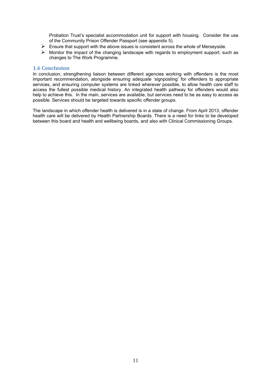Probation Trust's specialist accommodation unit for support with housing. Consider the use of the Community Prison Offender Passport (see appendix 5).

- $\triangleright$  Ensure that support with the above issues is consistent across the whole of Merseyside.
- $\triangleright$  Monitor the impact of the changing landscape with regards to employment support, such as changes to The Work Programme.

#### **1.6 Conclusion**

In conclusion, strengthening liaison between different agencies working with offenders is the most important recommendation, alongside ensuring adequate 'signposting' for offenders to appropriate services, and ensuring computer systems are linked wherever possible, to allow health care staff to access the fullest possible medical history. An integrated health pathway for offenders would also help to achieve this. In the main, services are available, but services need to be as easy to access as possible. Services should be targeted towards specific offender groups.

The landscape in which offender health is delivered is in a state of change. From April 2013, offender health care will be delivered by Health Partnership Boards. There is a need for links to be developed between this board and health and wellbeing boards, and also with Clinical Commissioning Groups.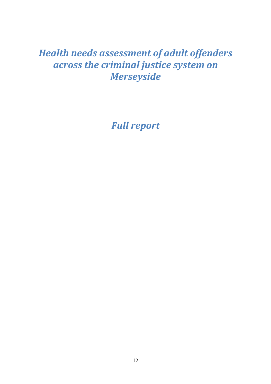# *Health needs assessment of adult offenders across the criminal justice system on Merseyside*

*Full report*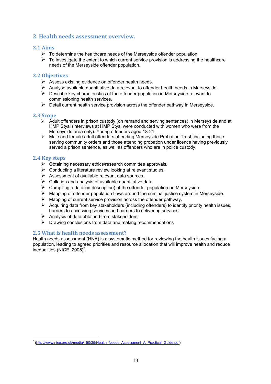## **2. Health needs assessment overview.**

## **2.1 Aims**

- $\triangleright$  To determine the healthcare needs of the Merseyside offender population.
- $\triangleright$  To investigate the extent to which current service provision is addressing the healthcare needs of the Merseyside offender population.

## **2.2 Objectives**

- $\triangleright$  Assess existing evidence on offender health needs.
- $\triangleright$  Analyse available quantitative data relevant to offender health needs in Merseyside.
- $\triangleright$  Describe key characteristics of the offender population in Merseyside relevant to commissioning health services.
- $\triangleright$  Detail current health service provision across the offender pathway in Merseyside.

## **2.3 Scope**

- ¾ Adult offenders in prison custody (on remand and serving sentences) in Merseyside and at HMP Styal (interviews at HMP Styal were conducted with women who were from the Merseyside area only). Young offenders aged 18-21.
- $\triangleright$  Male and female adult offenders attending Merseyside Probation Trust, including those serving community orders and those attending probation under licence having previously served a prison sentence, as well as offenders who are in police custody.

## **2.4 Key steps**

 $\overline{a}$ 

- $\triangleright$  Obtaining necessary ethics/research committee approvals.
- $\triangleright$  Conducting a literature review looking at relevant studies.
- $\triangleright$  Assessment of available relevant data sources.
- $\triangleright$  Collation and analysis of available quantitative data.
- $\triangleright$  Compiling a detailed description) of the offender population on Merseyside.
- $\triangleright$  Mapping of offender population flows around the criminal justice system in Merseyside.
- $\triangleright$  Mapping of current service provision across the offender pathway.
- $\triangleright$  Acquiring data from key stakeholders (including offenders) to identify priority health issues, barriers to accessing services and barriers to delivering services.
- $\triangleright$  Analysis of data obtained from stakeholders.
- $\triangleright$  Drawing conclusions from data and making recommendations

## **2.5 What is health needs assessment?**

Health needs assessment (HNA) is a systematic method for reviewing the health issues facing a population, leading to agreed priorities and resource allocation that will improve health and reduce  $\mu$ inequalities (NICE, 2005)<sup>3</sup>.

<sup>&</sup>lt;sup>3</sup> (http://www.nice.org.uk/media/150/35/Health\_Needs\_Assessment\_A\_Practical\_Guide.pdf)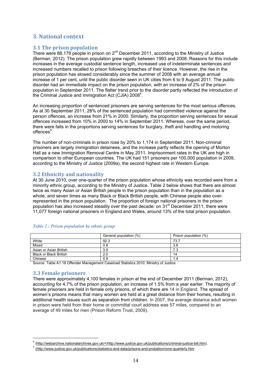## **3. National context**

## **3.1 The prison population**

There were 88,179 people in prison on  $2^{nd}$  December 2011, according to the Ministry of Justice (Berman, 2012). The prison population grew rapidly between 1993 and 2008. Reasons for this include increases in the average custodial sentence length, increased use of indeterminate sentences and increased numbers recalled to prison following breaches of their licence. However, the rise in the prison population has slowed considerably since the summer of 2008 with an average annual increase of 1 per cent, until the public disorder seen in UK cities from 6 to 9 August 2011. The public disorder had an immediate impact on the prison population, with an increase of 2% of the prison population in September 2011. The flatter trend prior to the disorder partly reflected the introduction of the Criminal Justice and Immigration Act (CJIA)  $2008^4$ .

An increasing proportion of sentenced prisoners are serving sentences for the most serious offences. As at 30 September 2011, 28% of the sentenced population had committed violence against the person offences, an increase from 21% in 2000. Similarly, the proportion serving sentences for sexual offences increased from 10% in 2000 to 14% in September 2011. Whereas, over the same period, there were falls in the proportions serving sentences for burglary, theft and handling and motoring offences<sup>5</sup>.

The number of non-criminals in prison rose by 20% to 1,174 in September 2011. Non-criminal prisoners are largely immigration detainees, and the increase partly reflects the opening of Morton Hall as a new Immigration Removal Centre in May 2011. Imprisonment rates in the UK are high in comparison to other European countries. The UK had 151 prisoners per 100,000 population in 2009, according to the Ministry of Justice (2009a), the second highest rate in Western Europe.

## **3.2 Ethnicity and nationality**

At 30 June 2010, over one-quarter of the prison population whose ethnicity was recorded were from a minority ethnic group, according to the Ministry of Justice. Table 2 below shows that there are almost twice as many Asian or Asian British people in the prison population than in the population as a whole, and seven times as many Black or Black British people, with Chinese people also overrepresented in the prison population. The proportion of foreign national prisoners in the prison population has also increased steadily over the past decade: on  $31<sup>st</sup>$  December 2011, there were 11,077 foreign national prisoners in England and Wales, around 13% of the total prison population.

|                               | General population (%) | Prison population (%) |
|-------------------------------|------------------------|-----------------------|
| White                         | 92.3                   | 73.7                  |
| Mixed                         | 0.8                    | 3.6                   |
| Asian or Asian British        | 3.9                    | 7.3                   |
| <b>Black or Black British</b> | 2.0                    | 14                    |
| Chinese                       | 0.9                    | 1.4                   |

#### *Table 2 : Prison population by ethnic group*

Source: Table A1.18 Offender Management Caseload Statistics 2010, Ministry of Justice

## **3.3 Female prisoners**

 $\overline{a}$ 

There were approximately 4,100 females in prison at the end of December 2011 (Berman, 2012), accounting for 4.7% of the prison population, an increase of 1.5% from a year earlier. The majority of female prisoners are held in female only prisons, of which there are 14 in England. The spread of women's prisons means that many women are held at a great distance from their homes, resulting in additional health issues such as separation from children. In 2007, the average distance adult women in prison were held from their home or committal court address was 57 miles, compared to an average of 49 miles for men (Prison Reform Trust, 2009).

<sup>4</sup> (http://webarchive.nationalarchives.gov.uk/+/http://www.justice.gov.uk/publications/criminal-justice-bill.htm).

<sup>5&</sup>lt;br>(http://www.justice.gov.uk/publications/statistics-and-data/prisons-and-probation/oms-quarterly.htm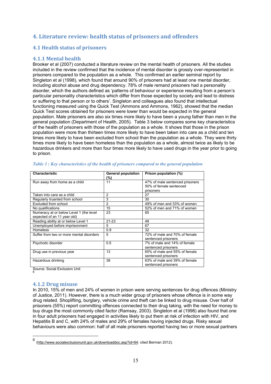## **4. Literature review: health status of prisoners and offenders**

## **4.1 Health status of prisoners**

## **4.1.1 Mental health**

Brooker et al (2007) conducted a literature review on the mental health of prisoners. All the studies included in the review confirmed that the incidence of mental disorder is grossly over-represented in prisoners compared to the population as a whole. This confirmed an earlier seminal report by Singleton et al (1998), which found that around 90% of prisoners had at least one mental disorder, including alcohol abuse and drug dependency. 78% of male remand prisoners had a personality disorder, which the authors defined as 'patterns of behaviour or experience resulting from a person's particular personality characteristics which differ from those expected by society and lead to distress or suffering to that person or to others'. Singleton and colleagues also found that intellectual functioning measured using the Quick Test (Ammons and Ammons, 1962), showed that the median Quick Test scores obtained for prisoners were lower than would be expected in the general population. Male prisoners are also six times more likely to have been a young father than men in the general population (Department of Health, 2005). Table 3 below compares some key characteristics of the health of prisoners with those of the population as a whole. It shows that those in the prison population were more than thirteen times more likely to have been taken into care as a child and ten times more likely to have been excluded from school than the population as a whole. They were thirty times more likely to have been homeless than the population as a whole, almost twice as likely to be hazardous drinkers and more than four times more likely to have used drugs in the year prior to going to prison.

| <b>Characteristic</b>                                                  | <b>General population</b> | Prison population (%)                                                   |
|------------------------------------------------------------------------|---------------------------|-------------------------------------------------------------------------|
| Run away from home as a child                                          | (%)<br>11                 | 47% of male sentenced prisoners<br>50% of female sentenced<br>prisoners |
| Taken into care as a child                                             | 2                         | 27                                                                      |
| Regularly truanted from school                                         | 3                         | 30                                                                      |
| Excluded from school                                                   | 2                         | 49% of men and 33% of women                                             |
| No qualifications                                                      | 15                        | 52% of men and 71% of women                                             |
| Numeracy at or below Level 1 (the level<br>expected of an 11 year old) | 23                        | 65                                                                      |
| Reading ability at or below Level 1                                    | $21 - 23$                 | 48                                                                      |
| Unemployed before imprisonment                                         | 5                         | 67                                                                      |
| <b>Homeless</b>                                                        | 0.9                       | 32                                                                      |
| Suffer from two or more mental disorders                               | 5                         | 72% of male and 70% of female<br>sentenced prisoners                    |
| Psychotic disorder                                                     | 0.5                       | 7% of male and 14% of female<br>sentenced prisoners                     |
| Drug use in previous year                                              | 13                        | 65% of male and 55% of female<br>sentenced prisoners                    |
| Hazardous drinking                                                     | 38                        | 63% of male and 39% of female<br>sentenced prisoners                    |

*Table 3 : Key characteristics of the health of prisoners compared to the general population* 

Source: Social Exclusion Unit 6

## **4.1.2 Drug misuse**

In 2010, 15% of men and 24% of women in prison were serving sentences for drug offences (Ministry of Justice, 2011). However, there is a much wider group of prisoners whose offence is in some way drug related. Shoplifting, burglary, vehicle crime and theft can be linked to drug misuse. Over half of prisoners (55%) report committing offences connected to their drug taking, with the need for money to buy drugs the most commonly cited factor (Ramsay, 2003). Singleton et al (1998) also found that one in four adult prisoners had engaged in activities likely to put them at risk of infection with HIV, and Hepatitis B and C, with 24% of males and 29% of females having injected drugs. Risky sexual behaviours were also common: half of all male prisoners reported having two or more sexual partners

 $6$ <sup>6</sup> (http://www.socialexclusionunit.gov.uk/downloaddoc.asp?id=64: cited Berman 2012).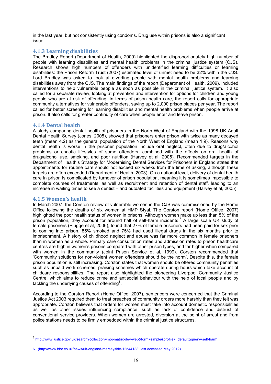in the last year, but not consistently using condoms. Drug use within prisons is also a significant issue.

## **4.1.3 Learning disabilities**

The Bradley Report (Department of Health, 2009) highlighted the disproportionately high number of people with learning disabilities and mental health problems in the criminal justice system (CJS). Research shows high numbers of offenders with unidentified learning difficulties or learning disabilities: the Prison Reform Trust (2007) estimated level of unmet need to be 32% within the CJS. Lord Bradley was asked to look at diverting people with mental health problems and learning disabilities away from the CJS. The main findings of the report (Department of Health, 2009), included interventions to help vulnerable people as soon as possible in the criminal justice system. It also called for a separate review, looking at prevention and intervention for options for children and young people who are at risk of offending. In terms of prison health care, the report calls for appropriate community alternatives for vulnerable offenders, saving up to 2,000 prison places per year. The report called for better screening for learning disabilities and mental health problems when people arrive at prison. It also calls for greater continuity of care when people enter and leave prison.

## **4.1.4 Dental health**

A study comparing dental health of prisoners in the North West of England with the 1998 UK Adult Dental Health Survey (Jones, 2005), showed that prisoners enter prison with twice as many decayed teeth (mean 4.2) as the general population of the North West of England (mean 1.9). Reasons why dental health is worse in the prisoner population include oral neglect, often due to drug/alcohol problems or chaotic lifestyles of some offenders, combined with the effects on oral health of drug/alcohol use, smoking, and poor nutrition (Harvey et al, 2005). Recommended targets in the Department of Health's Strategy for Modernising Dental Services for Prisoners in England states that appointments for routine care should not exceed six weeks from the time of asking, although these targets are often exceeded (Department of Health, 2003). On a national level, delivery of dental health care in prison is complicated by turnover of prison population, meaning it is sometimes impossible to complete courses of treatments, as well as recruitment and retention of dental staff, leading to an increase in waiting times to see a dentist – and outdated facilities and equipment (Harvey et al, 2005).

## **4.1.5 Women's health**

 $\overline{a}$ 

In March 2007, the Corston review of vulnerable women in the CJS was commissioned by the Home Office following the deaths of six women at HMP Styal. The Corston report (Home Office, 2007) highlighted the poor health status of women in prisons. Although women make up less than 5% of the prison population, they account for around half of self-harm incidents.<sup>7</sup> A large scale UK study of female prisoners (Plugge et al, 2006), found that 27% of female prisoners had been paid for sex prior to coming into prison. 85% smoked and 75% had used illegal drugs in the six months prior to imprisonment. A history of childhood neglect and abuse was far more common in female prisoners than in women as a whole. Primary care consultation rates and admission rates to prison healthcare centres are high in women's prisons compared with other prison types, and far higher when compared with women in the community (Joint Prison Service et al, 1999). Corston recommended that 'Community solutions for non-violent women offenders should be the norm'. Despite this, the female prison population is still increasing. Corston states that women should be offered community penalties such as unpaid work schemes, praising schemes which operate during hours which take account of childcare responsibilities. The report also highlighted the pioneering Liverpool Community Justice Centre, which aims to reduce crime and antisocial behaviour with the help of local people and by tackling the underlying causes of offending<sup>8</sup>.

According to the Corston Report (Home Office, 2007), sentencers were concerned that the Criminal Justice Act 2003 required them to treat breaches of community orders more harshly than they felt was appropriate. Corston believes that orders for women must take into account domestic responsibilities as well as other issues influencing compliance, such as lack of confidence and distrust of conventional service providers. When women are arrested, diversion at the point of arrest and from police stations needs to be firmly embedded within the criminal justice structures.

<sup>7</sup> http://www.justice.gov.uk/search?collection=moj-matrix-dev-web&form=simple&profile=\_default&query=self-harm

<sup>6. (</sup>http://www.bbc.co.uk/news/uk-england-merseyside-12544138: last accessed May 2012)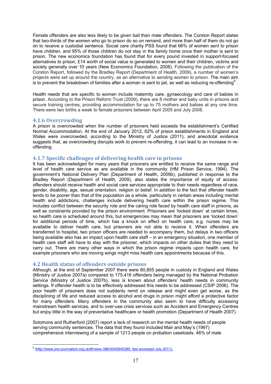Female offenders are also less likely to be given bail than male offenders. The Corston Report states that two-thirds of the women who go to prison do so on remand, and more than half of them do not go on to receive a custodial sentence. Social care charity PSS found that 66% of women sent to prison have children, and 95% of those children do not stay in the family home once their mother is sent to prison. The new economics foundation has found that for every pound invested in support-focused alternatives to prison, £14 worth of social value is generated to women and their children, victims and society generally over 10 years (New Economics Foundation, 2008). Following the publication of the Corston Report, followed by the Bradley Report (Department of Health, 2009), a number of women's projects were set up around the country, as an alternative to sending women to prison. The main aim is to prevent the breakdown of families after a woman is sent to jail, as well as reducing re-offending<sup>9</sup>.

Health needs that are specific to women include maternity care, gynaecology and care of babies in prison. According to the Prison Reform Trust (2009), there are 8 mother and baby units in prisons and secure training centres, providing accommodation for up to 75 mothers and babies at any one time. There were two births a week to female prisoners between April 2005 and July 2008.

## **4.1.6 Overcrowding**

A prison is overcrowded when the number of prisoners held exceeds the establishment's Certified Normal Accommodation. At the end of January 2012, 62% of prison establishments in England and Wales were overcrowded, according to the Ministry of Justice (2011), and anecdotal evidence suggests that, as overcrowding disrupts work to prevent re-offending, it can lead to an increase in reoffending.

#### **4.1.7 Specific challenges of delivering health care in prisons**

It has been acknowledged for many years that prisoners are entitled to receive the same range and level of health care service as are available in the community (HM Prison Service, 1994). The government's National Delivery Plan (Department of Health, 2009b), published in response to the Bradley Report (Department of Health, 2009), also states the importance of equity of access: offenders should receive health and social care services appropriate to their needs regardless of race, gender, disability, age, sexual orientation, religion or belief. In addition to the fact that offender health tends to be poorer than that of the population as a whole, particularly in certain areas including mental health and addictions, challenges include delivering health care within the prison regime. This includes conflict between the security role and the caring role faced by health care staff in prisons, as well as constraints provided by the prison environment. Prisoners are 'locked down' at certain times, so health care is scheduled around this, but emergencies may mean that prisoners are 'locked down' for additional periods of time, which has a knock on effect on health care, e.g. nurses may be available to deliver health care, but prisoners are not able to receive it. When offenders are transferred to hospital, two prison officers are needed to accompany them, but delays in two officers being available also has an impact upon health care staff – in an emergency situation, one member of health care staff will have to stay with the prisoner, which impacts on other duties that they need to carry out. There are many other ways in which the prison regime impacts upon health care, for example prisoners who are moving wings might miss health care appointments because of this.

## **4.2 Health status of offenders outside prisons**

Although, at the end of September 2007 there were 80,855 people in custody in England and Wales (Ministry of Justice 2007a) compared to 175,416 offenders being managed by the National Probation Service (Ministry of Justice 2007b), less is known about offenders' health needs in community settings. If offender health is to be effectively addressed this needs to be addressed (CSIP 2006). The poor health of prisoners does not suddenly remit on release and might even get worse, as the disciplining of life and reduced access to alcohol and drugs in prison might afford a protective factor for many offenders. Many offenders in the community also seem to have difficulty accessing mainstream health services, and to over-use crisis services such as Accident and Emergency Centres but enjoy little in the way of preventative healthcare or health promotion (Department of Health 2007).

Solomons and Rutherford (2007) report a lack of research on the mental health needs of people serving community sentences. The data that they found included Mair and May's (1997) comprehensive interviewing of a sample of 1213 people on probation caseloads. 46% of male

e<br>Inttp://www.jmu-journalism.org.uk/#/news-386/4545645385: last accessed July 2011).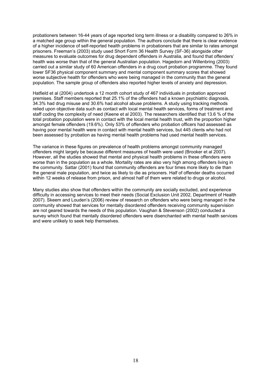probationers between 16-44 years of age reported long term illness or a disability compared to 26% in a matched age group within the general population. The authors conclude that there is clear evidence of a higher incidence of self-reported health problems in probationers that are similar to rates amongst prisoners. Freeman's (2003) study used Short Form 36 Health Survey (SF-36) alongside other measures to evaluate outcomes for drug dependent offenders in Australia, and found that offenders' health was worse than that of the general Australian population. Hagedorn and Willenbring (2003) carried out a similar study of 60 American offenders in a drug court probation programme. They found lower SF36 physical component summary and mental component summary scores that showed worse subjective health for offenders who were being managed in the community than the general population. The sample group of offenders also reported higher levels of anxiety and depression.

Hatfield et al (2004) undertook a 12 month cohort study of 467 individuals in probation approved premises. Staff members reported that 25.1% of the offenders had a known psychiatric diagnosis, 34.3% had drug misuse and 30.6% had alcohol abuse problems. A study using tracking methods relied upon objective data such as contact with local mental health services, forms of treatment and staff coding the complexity of need (Keene et al 2003). The researchers identified that 13.6 % of the total probation population were in contact with the local mental health trust, with the proportion higher amongst female offenders (19.6%). Only 53% of offenders who probation officers had assessed as having poor mental health were in contact with mental health services, but 445 clients who had not been assessed by probation as having mental health problems had used mental health services.

The variance in these figures on prevalence of health problems amongst community managed offenders might largely be because different measures of health were used (Brooker et al 2007). However, all the studies showed that mental and physical health problems in these offenders were worse than in the population as a whole. Mortality rates are also very high among offenders living in the community. Sattar (2001) found that community offenders are four times more likely to die than the general male population, and twice as likely to die as prisoners. Half of offender deaths occurred within 12 weeks of release from prison, and almost half of them were related to drugs or alcohol.

Many studies also show that offenders within the community are socially excluded, and experience difficulty in accessing services to meet their needs (Social Exclusion Unit 2002, Department of Health 2007). Skeem and Louden's (2006) review of research on offenders who were being managed in the community showed that services for mentally disordered offenders receiving community supervision are not geared towards the needs of this population. Vaughan & Stevenson (2002) conducted a survey which found that mentally disordered offenders were disenchanted with mental health services and were unlikely to seek help themselves.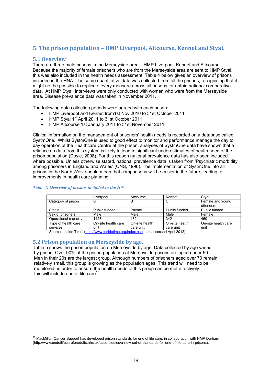## **5. The prison population – HMP Liverpool, Altcourse, Kennet and Styal.**

## **5.1 Overview**

 $\overline{a}$ 

There are three male prisons in the Merseyside area – HMP Liverpool, Kennet and Altcourse. Because the majority of female prisoners who are from the Merseyside area are sent to HMP Styal, this was also included in the health needs assessment. Table 4 below gives an overview of prisons included in the HNA. The same quantitative data was collected from all the prisons, recognising that it might not be possible to replicate every measure across all prisons, or obtain national comparative data. At HMP Styal, interviews were only conducted with women who were from the Merseyside area. Disease prevalence data was taken in November 2011.

The following data collection periods were agreed with each prison:

- HMP Liverpool and Kennet from1st Nov 2010 to 31st October 2011.
- HMP Styal 1st April 2011 to 31st October 2011.
- HMP Altcourse 1st January 2011 to 31st November 2011.

Clinical information on the management of prisoners' health needs is recorded on a database called SystmOne. Whilst SystmOne is used to good effect to monitor and performance manage the day to day operation of the Healthcare Centre at the prison, analyses of SystmOne data have shown that a reliance on data from this system is likely to lead to significant underestimates of health need of the prison population (Doyle, 2008). For this reason national prevalence data has also been included where possible. Unless otherwise stated, national prevalence data is taken from 'Psychiatric morbidity among prisoners in England and Wales' (ONS, 1998). The implementation of SystmOne into all prisons in the North West should mean that comparisons will be easier in the future, leading to improvements in health care planning.

|                      | Liverpool           | Altcourse      | Kennet         | Stval               |
|----------------------|---------------------|----------------|----------------|---------------------|
| Category of prison   | B                   | В              | C              | Female and young    |
|                      |                     |                |                | offenders           |
| <b>Status</b>        | Public funded       | Private        | Public funded  | Public funded       |
| Sex of prisoners     | Male                | Male           | Male           | Female              |
| Operational capacity | 1423                | 1324           | 342            | 460                 |
| Type of health care  | On-site health care | On-site health | On-site health | On-site health care |
| services             | unit                | care unit      | care unit      | unit                |

#### *Table 4: Overview of prisons included in the HNA*

Source: 'Inside Time' (http://www.insidetime.org/index.asp: last accessed April 2012)

## **5.2 Prison population on Merseyside by age.**

Table 5 shows the prison population on Merseyside by age. Data collected by age varied by prison. Over 90% of the prison population at Merseyside prisons are aged under 50. Men in their 20s are the largest group. Although numbers of prisoners aged over 70 remain relatively small, this group is growing as the population ages. This trend will need to be monitored, in order to ensure the health needs of this group can be met effectively. This will include end of life care<sup>10</sup>.

 $10$  MacMillan Cancer Support has developed prison standards for end of life care, in collaboration with HMP Durham (http://www.endoflifecareforadults.nhs.uk/case-studies/a-new-set-of-standards-for-end-of-life-care-in-prisons).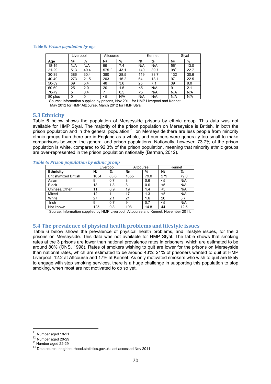#### **Table 5***: Prison population by age*

|           | Liverpool |      | Altcourse  |      | Kennet |      | Styal          |      |
|-----------|-----------|------|------------|------|--------|------|----------------|------|
| Age       | Nº        | %    | Nº         | %    | N٥     | %    | N <sub>2</sub> | %    |
| 18-19     | N/A       | N/A  | 99         | 7.4  | N/A    | N/A  | $56^{11}$      | 13.0 |
| $21 - 29$ | 513       | 40.4 | $575^{12}$ | 43.1 | 140    | 39.7 | $98^{13}$      | 22.7 |
| 30-39     | 386       | 30.4 | 380        | 28.5 | 119    | 33.7 | 132            | 30.6 |
| 40-49     | 273       | 21.5 | 203        | 15.2 | 64     | 18.1 | 97             | 22.5 |
| 50-59     | 69        | 5.4  | 48         | 3.6  | 25     | 7.1  | 39             | 9.0  |
| 60-69     | 25        | 2.0  | 20         | 1.5  | <5     | N/A  | 9              | 2.1  |
| 70-79     | 5         | 0.4  |            | 0.5  | <5     | N/A  | N/A            | N/A  |
| 80 plus   | 0         |      | <5         | N/A  | N/A    | N/A  | N/A            | N/A  |

Source: Information supplied by prisons, Nov 2011 for HMP Liverpool and Kennet, May 2012 for HMP Altcourse, March 2012 for HMP Styal.

#### **5.3 Ethnicity**

Table 6 below shows the population of Merseyside prisons by ethnic group. This data was not available for HMP Styal. The majority of the prison population on Merseyside is British. In both the prison population and in the general population<sup>14</sup> on Merseyside there are less people from minority ethnic groups than there are in England as a whole, and numbers were generally too small to make comparisons between the general and prison populations. Nationally, however, 73.7% of the prison population is white, compared to 92.3% of the prison population, meaning that minority ethnic groups are over-represented in the prison population nationally (Berman, 2012).

#### *Table 6: Prison population by ethnic group*

|                              | Liverpool      |      | Altcourse      |      | Kennet         |      |
|------------------------------|----------------|------|----------------|------|----------------|------|
| <b>Ethnicity</b>             | N <sub>2</sub> | %    | N <sub>2</sub> | %    | N <sub>2</sub> | %    |
| <b>British/mixed British</b> | 1054           | 83.6 | 1055           | 79.0 | 279            | 79.0 |
| Asian                        | 9              | 0.7  | 8              | 0.6  | <5             | N/A  |
| <b>Black</b>                 | 18             | 1.8  | 8              | 0.6  | <5             | N/A  |
| Chinese/Other                | 11             | 0.9  | 19             | 1.4  | $5$            | N/A  |
| Mixed                        | 12             |      | 17             | 1.3  | <5             | N/A  |
| White                        | 27             | 2.1  | 21             | 1.6  | 20             | 5.7  |
| Irish                        | 9              | 0.7  | 9              | 0.7  | <5             | N/A  |
| Not known                    | 125            | 9.8  | 198            | 14.8 | 44             | 12.5 |

Source: Information supplied by HMP Liverpool Altcourse and Kennet, November 2011.

#### **5.4 The prevalence of physical health problems and lifestyle issues**

Table 6 below shows the prevalence of physical health problems, and lifestyle issues, for the 3 prisons on Merseyside. This data was not available for HMP Styal. The table shows that smoking rates at the 3 prisons are lower than national prevalence rates in prisoners, which are estimated to be around 80% (ONS, 1998). Rates of smokers wishing to quit are lower for the prisons on Merseyside than national rates, which are estimated to be around 43%: 21% of prisoners wanted to quit at HMP Liverpool, 12.2 at Altcourse and 17% at Kennet. As only motivated smokers who wish to quit are likely to engage with stop smoking services, there is a huge challenge in supporting this population to stop smoking, when most are not motivated to do so yet.

 $11$  Number aged 18-21

 $12$  Number aged 20-29

<sup>&</sup>lt;sup>13</sup> Number aged 22-29

<sup>14</sup> Data source: neighbourhood.statistics.gov.uk: last accessed Nov 2011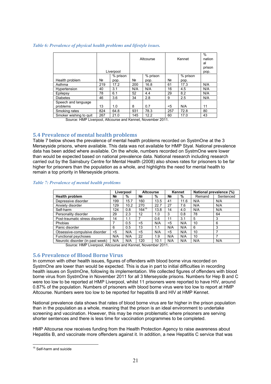#### *Table 6: Prevalence of physical health problems and lifestyle issues.*

|                        |     | Liverpool |     | Altcourse | Kennet         | $\%$<br>nation<br>al<br>prison<br>pop. |     |
|------------------------|-----|-----------|-----|-----------|----------------|----------------------------------------|-----|
|                        |     | % prison  |     | % prison  |                | % prison                               |     |
| Health problem         | Nº. | pop.      | Nº  | pop.      | N <sub>2</sub> | pop.                                   |     |
| Asthma                 | 219 | 17.2      | 200 | 16.8      | 61             | 17.3                                   | N/A |
| Hypertension           | 40  | 3.1       | N/A | N/A       | 16             | 4.5                                    | N/A |
| Epilepsy               | 78  | 6.1       | 52  | 4.4       | 29             | 8.2                                    | N/A |
| <b>Diabetes</b>        | 46  | 3.6       | 34  | 2.8       | 9              | 2.5                                    | N/A |
| Speech and language    |     |           |     |           |                |                                        |     |
| problems               | 13  | 1.0       | 8   | 0.7       | $<$ 5          | N/A                                    | 11  |
| Smoking rates          | 824 | 64.8      | 931 | 78.3      | 257            | 72.8                                   | 80  |
| Smoker wishing to quit | 267 | 21.0      | 145 | 12.2      | 60             | 17.0                                   | 43  |

Source: HMP Liverpool, Altcourse and Kennet, November 2011.

## **5.4 Prevalence of mental health problems**

Table 7 below shows the prevalence of mental health problems recorded on SystmOne at the 3 Merseyside prisons, where available. This data was not available for HMP Styal. National prevalence data has been added where available. On the whole, numbers recorded on SystmOne were lower than would be expected based on national prevalence data. National research including research carried out by the Sainsbury Centre for Mental Health (2008) also shows rates for prisoners to be far higher for prisoners than the population as a whole, and highlights the need for mental health to remain a top priority in Merseyside prisons.

#### *Table 7: Prevalence of mental health problems*

|                                  | Liverpool |      | <b>Altcourse</b> |      | Kennet         |      | National prevalence (%) |           |
|----------------------------------|-----------|------|------------------|------|----------------|------|-------------------------|-----------|
| <b>Health problem</b>            | Nº.       | %    | N <sub>2</sub>   | %    | N <sub>2</sub> | %    | Remand                  | Sentenced |
| Depressive disorder              | 199       | 15.7 | 160              | 13.5 | 41             | 11.6 | N/A                     | N/A       |
| Anxiety disorder                 | 129       | 10.2 | 270              | 22.7 | 27             | 7.6  | N/A                     | N/A       |
| Self-harm                        | 124       | 0.8  | $164^{15}$       | 13.8 | 14             | 4.0  | N/A                     | N/A       |
| Personality disorder             | 29        | 2.3  | 12               | 1.0  | 3              | 0.8  | 78                      | 64        |
| Post-traumatic stress disorder   | 14        | 1.1  | 7                | 0.6  | 11             | 3.1  | 5                       | 3         |
| Phobias                          |           | 0.5  | $<$ 5            | N/A  | $<$ 5          | N/A  | 10                      | 6         |
| Panic disorder                   | 6         | 0.5  | 13               | 1.1  | N/A            | N/A  | 6                       | 3         |
| Obsessive-compulsive disorder    | $5$       | N/A  | $<$ 5            | N/A  | $<$ 5          | N/A  | 10                      | ⇁         |
| Functional psychoses             | N/A       | N/A  | 22               | 1.9  | N/A            | N/A  | 10                      | ⇁         |
| Neurotic disorder (in past week) | N/A       | N/A  | 120              | 10.1 | N/A            | N/A  | N/A                     | N/A       |

Source: HMP Liverpool, Altcourse and Kennet, November 2011.

## **5.6 Prevalence of Blood Borne Virus**

In common with other health issues, figures of offenders with blood borne virus recorded on SystmOne are lower than would be expected. This is due in part to initial difficulties in recording health issues on SystmOne, following its implementation. We collected figures of offenders with blood borne virus from SystmOne in November 2011 for all 3 Merseyside prisons. Numbers for Hep B and C were too low to be reported at HMP Liverpool, whilst 11 prisoners were reported to have HIV, around 0.87% of the population. Numbers of prisoners with blood borne virus were too low to report at HMP Altcourse. Numbers were too low to be reported for hepatitis B and HIV at HMP Kennet.

National prevalence data shows that rates of blood borne virus are far higher in the prison population than in the population as a whole, meaning that the prison is an ideal environment to undertake screening and vaccination. However, this may be more problematic where prisoners are serving shorter sentences and there is less time for vaccination programmes to be completed.

HMP Altcourse now receives funding from the Health Protection Agency to raise awareness about Hepatitis B, and vaccinate more offenders against it. In addition, a new Hepatitis C service that was

 $\overline{a}$ <sup>15</sup> Self-harm and suicide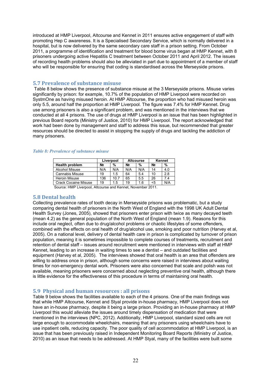introduced at HMP Liverpool, Altcourse and Kennet in 2011 ensures active engagement of staff with promoting Hep C awareness. It is a Specialised Secondary Service, which is normally delivered in a hospital, but is now delivered by the same secondary care staff in a prison setting. From October 2011, a programme of identification and treatment for blood borne virus began at HMP Kennet, with 8 prisoners undergoing active Hepatitis C treatment between October 2011 and April 2012. The issues of recording health problems should also be alleviated in part due to appointment of a member of staff who will be responsible for ensuring that coding is standardised across the Merseyside prisons.

## **5.7 Prevalence of substance misuse**

Table 8 below shows the presence of substance misuse at the 3 Merseyside prisons. Misuse varies significantly by prison: for example, 10.7% of the population of HMP Liverpool were recorded on SystmOne as having misused heroin. At HMP Altcourse, the proportion who had misused heroin was only 5.5, around half the proportion at HMP Liverpool. The figure was 7.4% for HMP Kennet. Drug use among prisoners is also a significant problem, and was mentioned in the interviews that we conducted at all 4 prisons. The use of drugs at HMP Liverpool is an issue that has been highlighted in previous Board reports (Ministry of Justice, 2010) for HMP Liverpool. The report acknowledged that work had been done by management and staff to address this issue, but recommended that greater resources should be directed to assist in stopping the supply of drugs and tackling the addiction of many prisoners.

#### *Table 8: Prevalence of substance misuse*

|                             |                | Liverpool | <b>Altcourse</b> |     |                | Kennet |
|-----------------------------|----------------|-----------|------------------|-----|----------------|--------|
| <b>Health problem</b>       | N <sub>2</sub> | %         | N <sub>2</sub>   | %   | N <sub>2</sub> | %      |
| <b>Alcohol Misuse</b>       | N/A            | N/A       | N/A              | N/A | 14             | 4.0    |
| <b>Cannabis Misuse</b>      | 19             | 1.5       | 64               | 5.4 | 10             | 2.8    |
| Heroin Misuse               | 136            | 10.7      | 65               | 5.5 | 26             | 7.4    |
| <b>Crack Cocaine Misuse</b> | 19             | 1.5       | 19               | 1.6 | $5$            | N/A    |
|                             |                |           |                  |     |                |        |

Source: HMP Liverpool, Altcourse and Kennet, November 2011.

## **5.8 Dental health**

Collecting prevalence rates of tooth decay in Merseyside prisons was problematic, but a study comparing dental health of prisoners in the North West of England with the 1998 UK Adult Dental Health Survey (Jones, 2005), showed that prisoners enter prison with twice as many decayed teeth (mean 4.2) as the general population of the North West of England (mean 1.9). Reasons for this include oral neglect, often due to drug/alcohol problems or chaotic lifestyles of some offenders, combined with the effects on oral health of drug/alcohol use, smoking and poor nutrition (Harvey et al, 2005). On a national level, delivery of dental health care in prison is complicated by turnover of prison population, meaning it is sometimes impossible to complete courses of treatments, recruitment and retention of dental staff – issues around recruitment were mentioned in interviews with staff at HMP Kennet, leading to an increase in waiting times to see a dentist – and outdated facilities and equipment (Harvey et al, 2005). The interviews showed that oral health is an area that offenders are willing to address once in prison, although some concerns were raised in interviews about waiting times for non-emergency dental work. Prisoners were also concerned that scale and polish was not available, meaning prisoners were concerned about neglecting preventive oral health, although there is little evidence for the effectiveness of this procedure in terms of maintaining oral health.

## **5.9 Physical and human resources : all prisons**

Table 9 below shows the facilities available to each of the 4 prisons. One of the main findings was that while HMP Altcourse, Kennet and Styal provide in-house pharmacy, HMP Liverpool does not have an in-house pharmacy, despite it being a large prison. Providing an in-house pharmacy at HMP Liverpool this would alleviate the issues around timely dispensation of medication that were mentioned in the interviews (NPC, 2012). Additionally, HMP Liverpool, standard sized cells are not large enough to accommodate wheelchairs, meaning that any prisoners using wheelchairs have to use inpatient cells, reducing capacity. The poor quality of cell accommodation at HMP Liverpool, is an issue that has been previously raised in Independent Monitoring Board Reports (Ministry of Justice, 2010) as an issue that needs to be addressed. At HMP Styal, many of the facilities were built some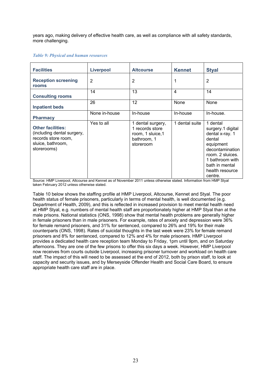years ago, making delivery of effective health care, as well as compliance with all safety standards, more challenging.

#### *Table 9: Physical and human resources*

| <b>Facilities</b>                                                                                                 | <b>Liverpool</b> | <b>Altcourse</b>                                                                      | <b>Kennet</b>  | <b>Styal</b>                                                                                                                                                                      |
|-------------------------------------------------------------------------------------------------------------------|------------------|---------------------------------------------------------------------------------------|----------------|-----------------------------------------------------------------------------------------------------------------------------------------------------------------------------------|
| <b>Reception screening</b><br>rooms                                                                               | $\overline{2}$   | $\overline{2}$                                                                        | 1              | $\overline{2}$                                                                                                                                                                    |
| <b>Consulting rooms</b>                                                                                           | 14               | 13                                                                                    | $\overline{4}$ | 14                                                                                                                                                                                |
| <b>Inpatient beds</b>                                                                                             | 26               | 12                                                                                    | None           | None                                                                                                                                                                              |
| <b>Pharmacy</b>                                                                                                   | None in-house    | In-house                                                                              | In-house       | In-house.                                                                                                                                                                         |
| <b>Other facilities:</b><br>(including dental surgery,<br>records store room,<br>sluice, bathroom,<br>storerooms) | Yes to all       | 1 dental surgery,<br>1 records store<br>room, 1 sluice, 1<br>bathroom, 1<br>storeroom | 1 dental suite | 1 dental<br>surgery.1 digital<br>dental x-ray. 1<br>dental<br>equipment<br>decontamination<br>room. 2 sluices.<br>1 bathroom with<br>bath in mental<br>health resource<br>centre. |

Source: HMP Liverpool, Altcourse and Kennet as of November 2011 unless otherwise stated. Information from HMP Styal taken February 2012 unless otherwise stated.

Table 10 below shows the staffing profile at HMP Liverpool, Altcourse, Kennet and Styal. The poor health status of female prisoners, particularly in terms of mental health, is well documented (e.g. Department of Health, 2009), and this is reflected in increased provision to meet mental health need at HMP Styal, e.g. numbers of mental health staff are proportionately higher at HMP Styal than at the male prisons. National statistics (ONS, 1998) show that mental health problems are generally higher in female prisoners than in male prisoners. For example, rates of anxiety and depression were 36% for female remand prisoners, and 31% for sentenced, compared to 26% and 19% for their male counterparts (ONS, 1998). Rates of suicidal thoughts in the last week were 23% for female remand prisoners and 8% for sentenced, compared to 12% and 4% for male prisoners. HMP Liverpool provides a dedicated health care reception team Monday to Friday, 1pm until 9pm, and on Saturday afternoons. They are one of the few prisons to offer this six days a week. However, HMP Liverpool now receives from courts outside Liverpool, increasing prisoner turnover and workload on health care staff. The impact of this will need to be assessed at the end of 2012, both by prison staff, to look at capacity and security issues, and by Merseyside Offender Health and Social Care Board, to ensure appropriate health care staff are in place.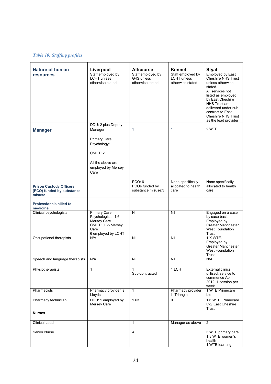## *Table 10: Staffing profiles*

| <b>Nature of human</b><br><b>resources</b>                            | Liverpool<br>Staff employed by<br><b>LCHT</b> unless<br>otherwise stated                                    | <b>Altcourse</b><br>Staff employed by<br>G4S unless<br>otherwise stated | Kennet<br>Staff employed by<br><b>LCHT</b> unless<br>otherwise stated. | <b>Styal</b><br><b>Employed by East</b><br><b>Cheshire NHS Trust</b><br>unless otherwise<br>stated.<br>All services not<br>listed as employed<br>by East Cheshire<br>NHS Trust are<br>delivered under sub-<br>contract to East<br><b>Cheshire NHS Trust</b><br>as the lead provider |
|-----------------------------------------------------------------------|-------------------------------------------------------------------------------------------------------------|-------------------------------------------------------------------------|------------------------------------------------------------------------|-------------------------------------------------------------------------------------------------------------------------------------------------------------------------------------------------------------------------------------------------------------------------------------|
| <b>Manager</b>                                                        | DDU: 2 plus Deputy<br>Manager                                                                               | 1                                                                       | 1                                                                      | 2 WTE                                                                                                                                                                                                                                                                               |
|                                                                       | Primary Care<br>Psychology: 1                                                                               |                                                                         |                                                                        |                                                                                                                                                                                                                                                                                     |
|                                                                       | CMHT: 2                                                                                                     |                                                                         |                                                                        |                                                                                                                                                                                                                                                                                     |
|                                                                       | All the above are<br>employed by Mersey<br>Care                                                             |                                                                         |                                                                        |                                                                                                                                                                                                                                                                                     |
| <b>Prison Custody Officers</b><br>(PCO) funded by substance<br>misuse |                                                                                                             | PCO: 6<br>PCOs funded by<br>substance misuse:3                          | None specifically<br>allocated to health<br>care                       | None specifically<br>allocated to health<br>care                                                                                                                                                                                                                                    |
| <b>Professionals allied to</b><br>medicine                            |                                                                                                             |                                                                         |                                                                        |                                                                                                                                                                                                                                                                                     |
| Clinical psychologists                                                | <b>Primary Care</b><br>Psychologists: 1.6<br>Mersey Care<br>CMHT: 0.35 Mersey<br>Care<br>6 employed by LCHT | Nil                                                                     | Nil                                                                    | Engaged on a case<br>by case basis<br>Employed by<br><b>Greater Manchester</b><br><b>West Foundation</b><br>Trust                                                                                                                                                                   |
| Occupational therapists                                               | N/A                                                                                                         | Nil                                                                     | Nil                                                                    | 1 X WTE.<br>Employed by<br><b>Greater Manchester</b><br><b>West Foundation</b><br>Trust                                                                                                                                                                                             |
| Speech and language therapists                                        | N/A                                                                                                         | Nil                                                                     | Nil                                                                    | N/A                                                                                                                                                                                                                                                                                 |
| Physiotherapists                                                      | 1                                                                                                           | 1<br>Sub-contracted                                                     | 1 LCH                                                                  | <b>External clinics</b><br>utilised: service to<br>commence April<br>2012, 1 session per<br>week.                                                                                                                                                                                   |
| Pharmacists                                                           | Pharmacy provider is<br>Lloyds                                                                              | $\mathbf{1}$                                                            | Pharmacy provider<br>is Triangle                                       | 1 WTE Primecare<br>Ltd                                                                                                                                                                                                                                                              |
| Pharmacy technician                                                   | DDU: 1 employed by<br>Mersey Care                                                                           | 1.63                                                                    | 0                                                                      | 1.6 WTE. Primecare<br>Ltd/ East Cheshire<br>Trust                                                                                                                                                                                                                                   |
| <b>Nurses</b>                                                         |                                                                                                             |                                                                         |                                                                        |                                                                                                                                                                                                                                                                                     |
| Clinical Lead                                                         |                                                                                                             | $\mathbf{1}$                                                            | Manager as above                                                       | 2                                                                                                                                                                                                                                                                                   |
| Senior Nurse                                                          |                                                                                                             | $\overline{4}$                                                          |                                                                        | 3 WTE primary care<br>1.3 WTE women's<br>health<br>1 WTE learning                                                                                                                                                                                                                   |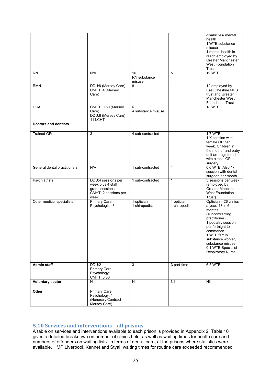| <b>RN</b>                    | N/A                                                                                       | 16                          | 5                           | disabilities/ mental<br>health<br>1 WTE substance<br>misuse<br>1 mental health in-<br>reach employed by<br><b>Greater Manchester</b><br><b>West Foundation</b><br>Trust<br><b>19 WTE</b>                                                           |
|------------------------------|-------------------------------------------------------------------------------------------|-----------------------------|-----------------------------|----------------------------------------------------------------------------------------------------------------------------------------------------------------------------------------------------------------------------------------------------|
|                              |                                                                                           | RN substance<br>misuse      |                             |                                                                                                                                                                                                                                                    |
| <b>RMN</b>                   | DDU:8 (Mersey Care)<br>CMHT: 4 (Mersey<br>Care)                                           | $\overline{8}$              | $\mathbf{1}$                | 12 employed by<br>East Cheshire NHS<br>trust and Greater<br><b>Manchester West</b><br><b>Foundation Trust</b>                                                                                                                                      |
| <b>HCA</b>                   | CMHT: 0.60 (Mersey<br>Care)<br>DDU:8 (Mersey Care)<br>11 LCHT                             | 6<br>4 substance misuse     |                             | 18 WTE                                                                                                                                                                                                                                             |
| <b>Doctors and dentists</b>  |                                                                                           |                             |                             |                                                                                                                                                                                                                                                    |
| <b>Trained GPs</b>           | 3                                                                                         | 4 sub-contracted            | $\mathbf{1}$                | <b>1.7 WTE</b><br>1 X session with<br>female GP per<br>week. Children in<br>the mother and baby<br>unit are registered<br>with a local GP<br>surgery                                                                                               |
| General dental practitioners | N/A                                                                                       | 1 sub-contracted            | $\mathbf{1}$                | 0.6 WTE. Also 1x<br>session with dental<br>surgeon per month                                                                                                                                                                                       |
| Psychiatrists                | DDU:4 sessions per<br>week plus 4 staff<br>grade sessions<br>CMHT: 2 sessions per<br>week | 1 sub-contracted            | $\mathbf{1}$                | 3 sessions per week<br>(employed by<br>Greater Manchester<br><b>West Foundation</b><br>Trust)                                                                                                                                                      |
| Other medical specialists    | <b>Primary Care</b><br>Psychologist: 3                                                    | 1 optician<br>1 chiropodist | 1 optician<br>1 chiropodist | Optician - 26 clinics<br>a year/ 13 in 6<br>months<br>(subcontracting<br>practitioner)<br>1 podiatry session<br>per fortnight to<br>commence.<br>1 WTE family<br>substance worker,<br>substance misuse.<br>0.1 WTE Specialist<br>Respiratory Nurse |
| <b>Admin staff</b>           | DDU:2<br><b>Primary Care</b><br>Psychology: 1<br>CMHT: 0.86                               | 3                           | 3 part-time                 | 6.5 WTE                                                                                                                                                                                                                                            |
| <b>Voluntary sector</b>      | Nil                                                                                       | Nil                         | Nil                         | Nil                                                                                                                                                                                                                                                |
| Other                        | <b>Primary Care</b><br>Psychology: 1<br>(Honorary Contract<br>Mersey Care)                |                             |                             |                                                                                                                                                                                                                                                    |

## **5.10 Services and interventions – all prisons**

A table on services and interventions available to each prison is provided in Appendix 2. Table 10 gives a detailed breakdown on number of clinics held, as well as waiting times for health care and numbers of offenders on waiting lists. In terms of dental care, at the prisons where statistics were available, HMP Liverpool, Kennet and Styal, waiting times for routine care exceeded recommended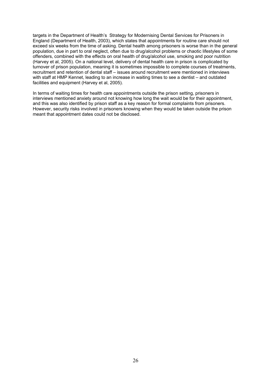targets in the Department of Health's Strategy for Modernising Dental Services for Prisoners in England (Department of Health, 2003), which states that appointments for routine care should not exceed six weeks from the time of asking. Dental health among prisoners is worse than in the general population, due in part to oral neglect, often due to drug/alcohol problems or chaotic lifestyles of some offenders, combined with the effects on oral health of drug/alcohol use, smoking and poor nutrition (Harvey et al, 2005). On a national level, delivery of dental health care in prison is complicated by turnover of prison population, meaning it is sometimes impossible to complete courses of treatments, recruitment and retention of dental staff – issues around recruitment were mentioned in interviews with staff at HMP Kennet, leading to an increase in waiting times to see a dentist – and outdated facilities and equipment (Harvey et al, 2005).

In terms of waiting times for health care appointments outside the prison setting, prisoners in interviews mentioned anxiety around not knowing how long the wait would be for their appointment, and this was also identified by prison staff as a key reason for formal complaints from prisoners. However, security risks involved in prisoners knowing when they would be taken outside the prison meant that appointment dates could not be disclosed.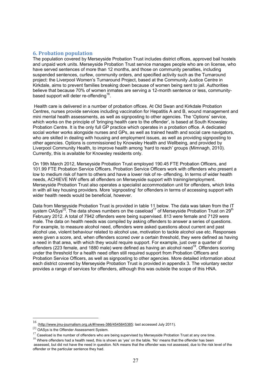## **6. Probation population**

The population covered by Merseyside Probation Trust includes district offices, approved bail hostels and unpaid work units. Merseyside Probation Trust service manages people who are on license, who have served sentences of more than 12 months, and those on community penalties, including suspended sentences, curfew, community orders, and specified activity such as the Turnaround project: the Liverpool Women's Turnaround Project, based at the Community Justice Centre in Kirkdale, aims to prevent families breaking down because of women being sent to jail. Authorities believe that because 70% of women inmates are serving a 12-month sentence or less, communitybased support will deter re-offending<sup>16</sup>.

 Health care is delivered in a number of probation offices. At Old Swan and Kirkdale Probation Centres, nurses provide services including vaccination for Hepatitis A and B, wound management and mini mental health assessments, as well as signposting to other agencies. The 'Options' service, which works on the principle of 'bringing health care to the offender', is based at South Knowsley Probation Centre. It is the only full GP practice which operates in a probation office. A dedicated social worker works alongside nurses and GPs, as well as trained health and social care navigators, who are skilled in dealing with housing and employment issues, as well as providing signposting to other agencies. Options is commissioned by Knowsley Health and Wellbeing, and provided by Liverpool Community Health, to improve health among 'hard to reach' groups (Mimnagh, 2010). Currently, this is available for Knowsley residents only.

On 19th March 2012, Merseyside Probation Trust employed 190.45 FTE Probation Officers, and 101.99 FTE Probation Service Officers. Probation Service Officers work with offenders who present a low to medium risk of harm to others and have a lower risk of re- offending. In terms of wider health needs, ACHIEVE NW offers all offenders on Merseyside support with training/employment. Merseyside Probation Trust also operates a specialist accommodation unit for offenders, which links in with all key housing providers. More 'signposting' for offenders in terms of accessing support with wider health needs would be beneficial, however.

Data from Merseyside Probation Trust is provided in table 11 below. The data was taken from the IT system OASys<sup>[2]</sup>. The data shows numbers on the caseload<sup>17</sup> of Merseyside Probation Trust on 29<sup>th</sup> February 2012. A total of 7942 offenders were being supervised. 813 were female and 7129 were male. The data on health needs was compiled by asking offenders to answer a series of questions. For example, to measure alcohol need, offenders were asked questions about current and past alcohol use, violent behaviour related to alcohol use, motivation to tackle alcohol use etc. Responses were given a score, and, when offenders scored over a certain threshold, they were defined as having a need in that area, with which they would require support. For example, just over a quarter of offenders (223 female, and 1880 male) were defined as having an alcohol need18. Offenders scoring under the threshold for a health need often still required support from Probation Officers and Probation Service Officers, as well as signposting to other agencies. More detailed information about each district covered by Merseyside Probation Trust is provided in appendix 3. The voluntary sector provides a range of services for offenders, although this was outside the scope of this HNA.

 $16\,$ (http://www.jmu-journalism.org.uk/#/news-386/4545645385: last accessed July 2011).

<sup>[2]</sup> OASys is the Offender Assessment System.

<sup>&</sup>lt;sup>17</sup> Caseload is the number of offenders who are being supervised by Merseyside Probation Trust at any one time.

 $18$  Where offenders had a health need, this is shown as 'yes' on the table. 'No' means that the offender has been

assessed, but did not have the need in question. N/A means that the offender was not assessed, due to the risk level of the offender or the particular sentence they had.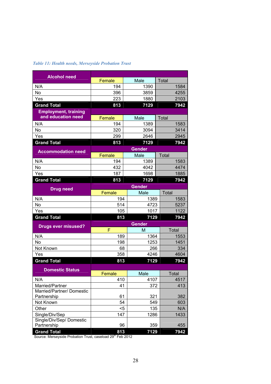| <b>Alcohol need</b>                      | Female        | Male          | Total        |  |  |
|------------------------------------------|---------------|---------------|--------------|--|--|
| N/A                                      | 194           | 1390          | 1584         |  |  |
| <b>No</b>                                | 396           | 3859          | 4255         |  |  |
| Yes                                      | 223           | 1880          | 2103         |  |  |
| <b>Grand Total</b>                       | 813           | 7129          | 7942         |  |  |
| <b>Employment, training</b>              |               |               |              |  |  |
| and education need                       | Female        | Male          | <b>Total</b> |  |  |
| N/A                                      | 194           | 1389          | 1583         |  |  |
| No                                       | 320           | 3094          | 3414         |  |  |
| Yes                                      | 299           | 2646          | 2945         |  |  |
| <b>Grand Total</b>                       | 813           | 7129          | 7942         |  |  |
| <b>Accommodation need</b>                |               | <b>Gender</b> |              |  |  |
|                                          | Female        | Male          | <b>Total</b> |  |  |
| N/A                                      | 194           | 1389          | 1583         |  |  |
| <b>No</b>                                | 432           | 4042          | 4474         |  |  |
| Yes                                      | 187           | 1698          | 1885         |  |  |
| <b>Grand Total</b>                       | 813           | 7129          | 7942         |  |  |
| <b>Drug need</b>                         | <b>Gender</b> |               |              |  |  |
|                                          | Female        | Male          | Total        |  |  |
| N/A                                      | 194           | 1389          | 1583         |  |  |
| No                                       | 514           | 4723          | 5237         |  |  |
| Yes                                      | 105           | 1017          | 1122         |  |  |
| <b>Grand Total</b>                       | 813           | 7129          | 7942         |  |  |
| <b>Drugs ever misused?</b>               |               | <b>Gender</b> |              |  |  |
|                                          | F             | M             | Total        |  |  |
| N/A                                      | 189           | 1364          | 1553         |  |  |
| No                                       | 198           | 1253          | 1451         |  |  |
| Not Known                                | 68            | 266           | 334          |  |  |
| Yes                                      | 358           | 4246          | 4604         |  |  |
| <b>Grand Total</b>                       | 813           | 7129          | 7942         |  |  |
| <b>Domestic Status</b>                   |               |               |              |  |  |
|                                          | Female        | Male          | Total        |  |  |
| N/A                                      | 410           | 4107          | 4517         |  |  |
| Married/Partner                          | 41            | 372           | 413          |  |  |
| Married/Partner/ Domestic<br>Partnership | 61            | 321           | 382          |  |  |
| Not Known                                | 54            | 549           | 603          |  |  |
| Other                                    | $5$           | 135           | N/A          |  |  |
| Single/Div/Sep                           | 147           | 1286          | 1433         |  |  |
| Single/Div/Sep/ Domestic                 |               |               |              |  |  |
| Partnership                              | 96            | 359           | 455          |  |  |
| <b>Grand Total</b>                       | 813           | 7129          | 7942         |  |  |

## *Table 11: Health needs, Merseyside Probation Trust*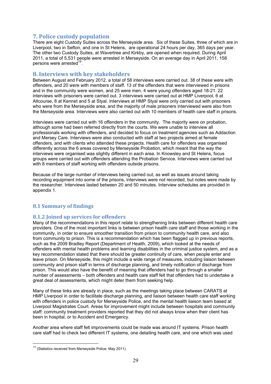## **7. Police custody population**

There are eight Custody Suites across the Merseyside area. Six of these Suites, three of which are in Liverpool, two in Sefton, and one in St Helens, are operational 24 hours per day, 365 days per year. The other two Custody Suites, at Wavertree and Kirkby, are opened when required. During April 2011, a total of 5,531 people were arrested in Merseyside. On an average day in April 2011, 158 persons were arrested<sup>19</sup>.

## **8. Interviews with key stakeholders**

Between August and February 2012, a total of 58 interviews were carried out. 38 of these were with offenders, and 20 were with members of staff. 13 of the offenders that were interviewed in prisons and in the community were women, and 25 were men. 4 were young offenders aged 18-21. 22 interviews with prisoners were carried out. 3 interviews were carried out at HMP Liverpool, 6 at Altcourse, 8 at Kennet and 5 at Styal. Interviews at HMP Styal were only carried out with prisoners who were from the Merseyside area, and the majority of male prisoners interviewed were also from the Merseyside area. Interviews were also carried out with 10 members of health care staff in prisons.

Interviews were carried out with 16 offenders in the community. The majority were on probation, although some had been referred directly from the courts. We were unable to interview all professionals working with offenders, and decided to focus on treatment agencies such as Addaction and Mersey Care. Interviews were also conducted with staff at two projects aimed at female offenders, and with clients who attended these projects. Health care for offenders was organised differently across the 6 areas covered by Merseyside Probation, which meant that the way the interviews were organised was slightly different in each area. In Knowsley and St Helens, focus groups were carried out with offenders attending the Probation Service. Interviews were carried out with 8 members of staff working with offenders outside prisons.

Because of the large number of interviews being carried out, as well as issues around taking recording equipment into some of the prisons, interviews were not recorded, but notes were made by the researcher. Interviews lasted between 20 and 50 minutes. Interview schedules are provided in appendix 1.

## **8.1 Summary of findings**

## **8.1.2 Joined up services for offenders**

Many of the recommendations in this report relate to strengthening links between different health care providers. One of the most important links is between prison health care staff and those working in the community, in order to ensure smoother transition from prison to community health care, and also from community to prison. This is a recommendation which has been flagged up in previous reports, such as the 2009 Bradley Report (Department of Health, 2009), which looked at the needs of offenders with mental health problems and learning disabilities in the criminal justice system, and as a key recommendation stated that there should be greater continuity of care, when people enter and leave prison. On Merseyside, this might include a wide range of measures, including liaison between community and prison staff in terms of discharge planning, and timely notification of discharge from prison. This would also have the benefit of meaning that offenders had to go through a smaller number of assessments – both offenders and health care staff felt that offenders had to undertake a great deal of assessments, which might deter them from seeking help.

Many of these links are already in place, such as the meetings taking place between CARATS at HMP Liverpool in order to facilitate discharge planning, and liaison between health care staff working with offenders in police custody for Merseyside Police, and the mental health liaison team based at Liverpool Magistrates Court. Areas for improvement might include between hospitals and community staff: community treatment providers reported that they did not always know when their client has been in hospital, or to Accident and Emergency.

Another area where staff felt improvements could be made was around IT systems. Prison health care staff had to check two different IT systems, one detailing health care, and one which was used

 $19$  (Statistics received from Merseyside Police: May 2011).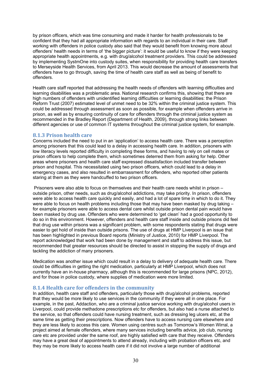by prison officers, which was time consuming and made it harder for health professionals to be confident that they had all appropriate information with regards to an individual in their care. Staff working with offenders in police custody also said that they would benefit from knowing more about offenders' health needs in terms of 'the bigger picture': it would be useful to know if they were keeping appropriate health appointments, e.g. with drug/alcohol treatment providers. This could be addressed by implementing SystmOne into custody suites, when responsibility for providing health care transfers to Merseyside Health Services, from April 2013. This would decrease the amount of assessments that offenders have to go through, saving the time of health care staff as well as being of benefit to offenders.

Health care staff reported that addressing the health needs of offenders with learning difficulties and learning disabilities was a problematic area. National research confirms this, showing that there are high numbers of offenders with unidentified learning difficulties or learning disabilities: the Prison Reform Trust (2007) estimated level of unmet need to be 32% within the criminal justice system. This could be addressed through assessment as soon as possible, for example when offenders arrive in prison, as well as by ensuring continuity of care for offenders through the criminal justice system as recommended in the Bradley Report (Department of Health, 2009), through strong links between different agencies or use of common IT systems throughout the criminal justice system, for example.

#### **8.1.3 Prison health care**

Concerns included the need to put in an 'application' to access health care. There was a perception among prisoners that this could lead to a delay in accessing health care. In addition, prisoners with low literacy levels reported difficulty in completing these forms, and having to rely on cell mates or prison officers to help complete them, which sometimes deterred them from asking for help. Other areas where prisoners and health care staff expressed dissatisfaction included transfer between prison and hospital. This necessitated using two prison officers, which could lead to a delay in emergency cases, and also resulted in embarrassment for offenders, who reported other patients staring at them as they were handcuffed to two prison officers.

 Prisoners were also able to focus on themselves and their health care needs whilst in prison – outside prison, other needs, such as drug/alcohol addictions, may take priority. In prison, offenders were able to access health care quickly and easily, and had a lot of spare time in which to do it. They were able to focus on health problems including those that may have been masked by drug taking – for example prisoners were able to access dental care whilst outside prison dental pain would have been masked by drug use. Offenders who were determined to 'get clean' had a good opportunity to do so in this environment. However, offenders and health care staff inside and outside prisons did feel that drug use within prisons was a significant problem, with some respondents stating that drugs were easier to get hold of inside than outside prisons. The use of drugs at HMP Liverpool is an issue that has been highlighted in previous Board reports (Ministry of Justice, 2010) for HMP Liverpool. The report acknowledged that work had been done by management and staff to address this issue, but recommended that greater resources should be directed to assist in stopping the supply of drugs and tackling the addiction of many prisoners.

Medication was another issue which could result in a delay to delivery of adequate health care. There could be difficulties in getting the right medication, particularly at HMP Liverpool, which does not currently have an in-house pharmacy, although this is recommended for large prisons (NPC, 2012), and for those in police custody, where supplies of medication were more limited.

## **8.1.4 Health care for offenders in the community**

In addition, health care staff and offenders, particularly those with drug/alcohol problems, reported that they would be more likely to use services in the community if they were all in one place. For example, in the past, Addaction, who are a criminal justice service working with drug/alcohol users in Liverpool, could provide methadone prescriptions etc for offenders, but also had a nurse attached to the service, so that offenders could have nursing treatment, such as dressing leg ulcers etc, at the same time as getting their prescriptions. Now offenders have to access nursing care elsewhere and they are less likely to access this care. Women using centres such as Tomorrow's Women Wirral, a project aimed at female offenders, where many services including benefits advice, job club, nursing care etc are provided under the same roof, are highly satisfied with care that they receive. Offenders may have a great deal of appointments to attend already, including with probation officers etc, and they may be more likely to access health care if it did not involve a large number of additional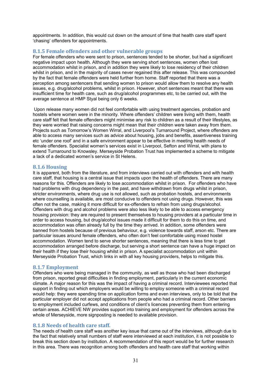appointments. In addition, this would cut down on the amount of time that health care staff spent 'chasing' offenders for appointments.

## **8.1.5 Female offenders and other vulnerable groups**

For female offenders who were sent to prison, sentences tended to be shorter, but had a significant negative impact upon health. Although they were serving short sentences, women often lost accommodation whilst in prison, and in addition they were likely to lose residency of their children whilst in prison, and in the majority of cases never regained this after release. This was compounded by the fact that female offenders were held further from home. Staff reported that there was a perception among sentencers that sending women to prison would allow them to resolve any health issues, e.g. drug/alcohol problems, whilst in prison. However, short sentences meant that there was insufficient time for health care, such as drug/alcohol programmes etc, to be carried out, with the average sentence at HMP Styal being only 6 weeks.

 Upon release many women did not feel comfortable with using treatment agencies, probation and hostels where women were in the minority. Where offenders' children were living with them, health care staff felt that female offenders might minimise any risk to children as a result of their lifestyles, as they were worried that raising concerns might mean that their children were taken away from them. Projects such as Tomorrow's Women Wirral, and Liverpool's Turnaround Project, where offenders are able to access many services such as advice about housing, jobs and benefits, assertiveness training etc 'under one roof' and in a safe environment appear to be effective in meeting health needs of female offenders. Specialist women's services exist in Liverpool, Sefton and Wirral, with plans to extend Turnaround to Knowsley. Merseyside Probation Trust has implemented a scheme to mitigate a lack of a dedicated women's service in St Helens.

## **8.1.6 Housing**

It is apparent, both from the literature, and from interviews carried out with offenders and with health care staff, that housing is a central issue that impacts upon the health of offenders. There are many reasons for this. Offenders are likely to lose accommodation whilst in prison. For offenders who have had problems with drug dependency in the past, and have withdrawn from drugs whilst in prison, stricter environments, where drug use is not allowed, such as probation hostels, and environments where counselling is available, are most conducive to offenders not using drugs. However, this was often not the case, making it more difficult for ex-offenders to refrain from using drugs/alcohol. Offenders with drug and alcohol problems were also less likely to be able to access emergency housing provision: they are required to present themselves to housing providers at a particular time in order to access housing, but drug/alcohol issues made it difficult for them to do this on time, and accommodation was often already full by the time they arrived. In addition, some offenders were banned from hostels because of previous behaviour, e.g. violence towards staff, arson etc. There are particular issues around female offenders, who often don't feel comfortable using mixed hostel accommodation. Women tend to serve shorter sentences, meaning that there is less time to get accommodation arranged before discharge, but serving a short sentence can have a huge impact on their health if they lose their housing whilst in prison. A specialist accommodation unit within Merseyside Probation Trust, which links in with all key housing providers, helps to mitigate this.

## **8.1.7 Employment**

Offenders who were being managed in the community, as well as those who had been discharged from prison, reported great difficulties in finding employment, particularly in the current economic climate. A major reason for this was the impact of having a criminal record. Interviewees reported that support in finding out which employers would be willing to employ someone with a criminal record would help: they were spending time on application forms and even interviews, only to be told that the particular employer did not accept applications from people who had a criminal record. Other barriers to employment included curfews, and conditions of client's licences preventing them from entering certain areas. ACHIEVE NW provides support into training and employment for offenders across the whole of Merseyside, more signposting is needed to available provision.

## **8.1.8 Needs of health care staff.**

The needs of health care staff was another key issue that came out of the interviews, although due to the fact that relatively small numbers of staff were interviewed at each institution, it is not possible to break this section down by institution. A recommendation of this report would be for further research in this area. There was recognition among both offenders and health care staff that working within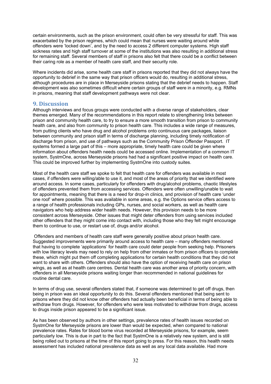certain environments, such as the prison environment, could often be very stressful for staff. This was exacerbated by the prison regimes, which could mean that nurses were waiting around while offenders were 'locked down', and by the need to access 2 different computer systems. High staff sickness rates and high staff turnover at some of the institutions was also resulting in additional stress for remaining staff. Several members of staff in prisons also felt that there could be a conflict between their caring role as a member of health care staff, and their security role.

Where incidents did arise, some health care staff in prisons reported that they did not always have the opportunity to debrief in the same way that prison officers would do, resulting in additional stress, although procedures are in place in Merseyside prisons stating that the debrief needs to happen. Staff development was also sometimes difficult where certain groups of staff were in a minority, e.g. RMNs in prisons, meaning that staff development pathways were not clear.

## **9. Discussion**

Although interviews and focus groups were conducted with a diverse range of stakeholders, clear themes emerged. Many of the recommendations in this report relate to strengthening links between prison and community health care, to try to ensure a more smooth transition from prison to community health care, and also from community to prison health care. This includes a wide range of measures, from putting clients who have drug and alcohol problems onto continuous care packages, liaison between community and prison staff in terms of discharge planning, including timely notification of discharge from prison, and use of pathways such as the Community Prison Offender Passport. IT systems formed a large part of this – more appropriate, timely health care could be given where information about offenders health needs could be accessed online. Implementation of a common IT system, SystmOne, across Merseyside prisons had had a significant positive impact on health care. This could be improved further by implementing SystmOne into custody suites.

Most of the health care staff we spoke to felt that health care for offenders was available in most cases, if offenders were willing/able to use it, and most of the areas of priority that we identified were around access. In some cases, particularly for offenders with drug/alcohol problems, chaotic lifestyles of offenders prevented them from accessing services. Offenders were often unwilling/unable to wait for appointments, meaning that there is a need for drop-in clinics, and provision of health care 'under one roof' where possible. This was available in some areas, e.g. the Options service offers access to a range of health professionals including GPs, nurses, and social workers, as well as health care navigators who help address wider health needs. However, this provision needs to be more consistent across Merseyside. Other issues that might deter offenders from using services included other offenders that they might come into contact with, including those who they felt might encourage them to continue to use, or restart use of, drugs and/or alcohol.

 Offenders and members of health care staff were generally positive about prison health care. Suggested improvements were primarily around access to health care – many offenders mentioned that having to complete 'applications' for health care could deter people from seeking help. Prisoners with low literacy levels may need to rely on help from other inmates or from prison officers to complete these, which might put them off completing applications for certain health conditions that they did not want to share with others. Offenders should also have the option of receiving health care on prison wings, as well as at health care centres. Dental health care was another area of priority concern, with offenders in all Merseyside prisons waiting longer than recommended in national guidelines for routine dental care.

In terms of drug use, several offenders stated that, if someone was determined to get off drugs, then being in prison was an ideal opportunity to do this. Several offenders mentioned that being sent to prisons where they did not know other offenders had actually been beneficial in terms of being able to withdraw from drugs. However, for offenders who were less motivated to withdraw from drugs, access to drugs inside prison appeared to be a significant issue.

As has been observed by authors in other settings, prevalence rates of health issues recorded on SystmOne for Merseyside prisons are lower than would be expected, when compared to national prevalence rates. Rates for blood borne virus recorded at Merseyside prisons, for example, seem particularly low. This is due in part to the fact that SystmOne is a relatively new system, and is still being rolled out to prisons at the time of this report going to press. For this reason, this health needs assessment has included national prevalence data as well as any local data available. Had more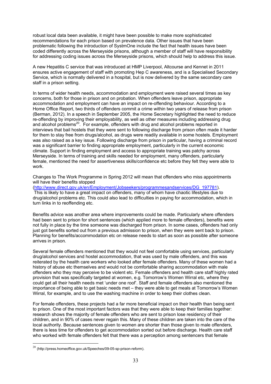robust local data been available, it might have been possible to make more sophisticated recommendations for each prison based on prevalence data. Other issues that have been problematic following the introduction of SystmOne include the fact that health issues have been coded differently across the Merseyside prisons, although a member of staff will have responsibility for addressing coding issues across the Merseyside prisons, which should help to address this issue.

A new Hepatitis C service that was introduced at HMP Liverpool, Altcourse and Kennet in 2011 ensures active engagement of staff with promoting Hep C awareness, and is a Specialised Secondary Service, which is normally delivered in a hospital, but is now delivered by the same secondary care staff in a prison setting.

In terms of wider health needs, accommodation and employment were raised several times as key concerns, both for those in prison and on probation. When offenders leave prison, appropriate accommodation and employment can have an impact on re-offending behaviour. According to a Home Office Report, two thirds of offenders commit a crime within two years of release from prison (Berman, 2012). In a speech in September 2005, the Home Secretary highlighted the need to reduce re-offending by improving their employability, as well as other measures including addressing drug and alcohol problems<sup>20</sup>. For example, offenders with drug and alcohol problems reported in interviews that bail hostels that they were sent to following discharge from prison often made it harder for them to stay free from drugs/alcohol, as drugs were readily available in some hostels. Employment was also raised as a key issue. Following discharge from prison in particular, having a criminal record was a significant barrier to finding appropriate employment, particularly in the current economic climate. Support in finding employment and access to appropriate training was patchy across Merseyside. In terms of training and skills needed for employment, many offenders, particularly female, mentioned the need for assertiveness skills/confidence etc before they felt they were able to work.

Changes to The Work Programme in Spring 2012 will mean that offenders who miss appointments will have their benefits stopped

(http://www.direct.gov.uk/en/Employment/Jobseekers/programmesandservices/DG\_197781). This is likely to have a great impact on offenders, many of whom have chaotic lifestyles due to drug/alcohol problems etc. This could also lead to difficulties in paying for accommodation, which in turn links in to reoffending etc.

Benefits advice was another area where improvements could be made. Particularly where offenders had been sent to prison for short sentences (which applied more to female offenders), benefits were not fully in place by the time someone was discharged from prison. In some cases, offenders had only just got benefits sorted out from a previous admission to prison, when they were sent back to prison. Planning for benefits/accommodation etc on release needs to start as soon as possible after someone arrives in prison.

Several female offenders mentioned that they would not feel comfortable using services, particularly drug/alcohol services and hostel accommodation, that was used by male offenders, and this was reiterated by the health care workers who looked after female offenders. Many of these women had a history of abuse etc themselves and would not be comfortable sharing accommodation with male offenders who they may perceive to be violent etc. Female offenders and health care staff highly rated provision that was specifically targeted at women, e.g. Tomorrow's Women Wirral etc, where they could get all their health needs met 'under one roof'. Staff and female offenders also mentioned the importance of being able to get basic needs met – they were able to get meals at Tomorrow's Women Wirral, for example, and to use the washing machine in order to keep their clothes clean.

For female offenders, these projects had a far more beneficial impact on their health than being sent to prison. One of the most important factors was that they were able to keep their families together: research shows the majority of female offenders who are sent to prison lose residency of their children, and in 90% of cases never regain this. Many of these children are taken into the care of the local authority. Because sentences given to women are shorter than those given to male offenders, there is less time for offenders to get accommodation sorted out before discharge. Health care staff who worked with female offenders felt that there was a perception among sentencers that female

 $^{20}$  (http://press.homeoffice.gov.uk/Speeches/09-05-sp-prison-reform).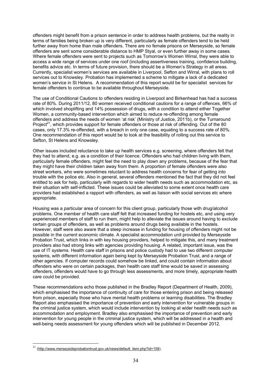offenders might benefit from a prison sentence in order to address health problems, but the reality in terms of families being broken up is very different, particularly as female offenders tend to be held further away from home than male offenders. There are no female prisons on Merseyside, so female offenders are sent some considerable distance to HMP Styal, or even further away in some cases. Where female offenders were sent to projects such as Tomorrow's Women Wirral, they were able to access a wide range of services under one roof (including assertiveness training, confidence building, benefits advice etc. In terms of future provision, there should be a Women's Strategy in all areas. Currently, specialist women's services are available in Liverpool, Sefton and Wirral, with plans to roll services out to Knowsley. Probation has implemented a scheme to mitigate a lack of a dedicated women's service in St Helens. A recommendation of this report would be for specialist services for female offenders to continue to be available throughout Merseyside.

The use of Conditional Cautions to offenders residing in Liverpool and Birkenhead has had a success rate of 80%. During 2011/12, 80 women received conditional cautions for a range of offences, 66% of which involved shoplifting and 14% possession of drugs, with a condition to attend either Together Women, a community-based intervention which aimed to reduce re-offending among female offenders and address the needs of women 'at risk' (Ministry of Justice, 2011b), or the Turnaround Project<sup>21</sup>, which provides support for female offenders or those at risk of offending. Out of the 80 cases, only 17.3% re-offended, with a breach in only one case, equating to a success rate of 80%. One recommendation of this report would be to look at the feasibility of rolling out this service to Sefton, St Helens and Knowsley.

Other issues included reluctance to take up health services e.g. screening, where offenders felt that they had to attend, e.g. as a condition of their licence. Offenders who had children living with them, particularly female offenders, might feel the need to play down any problems, because of the fear that they might have their children taken away from them. A proportion of female offenders were also street workers, who were sometimes reluctant to address health concerns for fear of getting into trouble with the police etc. Also in general, several offenders mentioned the fact that they did not feel entitled to ask for help, particularly with regards to wider health needs such as accommodation etc, as their situation with self-inflicted. These issues could be alleviated to some extent once health care providers had established a rapport with offenders, as well as liaison with social services etc where appropriate.

Housing was a particular area of concern for this client group, particularly those with drug/alcohol problems. One member of health care staff felt that increased funding for hostels etc, and using very experienced members of staff to run them, might help to alleviate the issues around having to exclude certain groups of offenders, as well as problems around drugs being available in the hostels. However, staff were also aware that a steep increase in funding for housing of offenders might not be possible in the current economic climate. A specialist accommodation unit provided by Merseyside Probation Trust, which links in with key housing providers, helped to mitigate this, and many treatment providers also had strong links with agencies providing housing. A related, important issue, was the use of IT systems. Health care staff in prisons and police custody had to use two different computer systems, with different information again being kept by Merseyside Probation Trust, and a range of other agencies. If computer records could somehow be linked, and could contain information about offenders who were on certain packages, then health care staff time would be saved in assessing offenders, offenders would have to go through less assessments, and more timely, appropriate health care could be provided.

These recommendations echo those published in the Bradley Report (Department of Health, 2009), which emphasised the importance of continuity of care for those entering prison and being released from prison, especially those who have mental health problems or learning disabilities. The Bradley Report also emphasised the importance of prevention and early intervention for vulnerable groups in the criminal justice system, which would include intervention by looking at wider health needs such as accommodation and employment. Bradley also emphasised the importance of prevention and early intervention for young people in the criminal justice system, which will be addressed in a health and well-being needs assessment for young offenders which will be published in December 2012.

 $^{21}$  (http://www.merseysideprobationtrust.gov.uk/news/default\_item.php?id=158).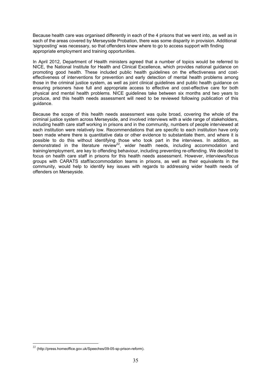Because health care was organised differently in each of the 4 prisons that we went into, as well as in each of the areas covered by Merseyside Probation, there was some disparity in provision. Additional 'signposting' was necessary, so that offenders knew where to go to access support with finding appropriate employment and training opportunities.

In April 2012, Department of Health ministers agreed that a number of topics would be referred to NICE, the National Institute for Health and Clinical Excellence, which provides national guidance on promoting good health. These included public health guidelines on the effectiveness and costeffectiveness of interventions for prevention and early detection of mental health problems among those in the criminal justice system, as well as joint clinical quidelines and public health quidance on ensuring prisoners have full and appropriate access to effective and cost-effective care for both physical and mental health problems. NICE guidelines take between six months and two years to produce, and this health needs assessment will need to be reviewed following publication of this guidance.

Because the scope of this health needs assessment was quite broad, covering the whole of the criminal justice system across Merseyside, and involved interviews with a wide range of stakeholders, including health care staff working in prisons and in the community, numbers of people interviewed at each institution were relatively low. Recommendations that are specific to each institution have only been made where there is quantitative data or other evidence to substantiate them, and where it is possible to do this without identifying those who took part in the interviews. In addition, as demonstrated in the literature review<sup>22</sup>, wider health needs, including accommodation and training/employment, are key to offending behaviour, including preventing re-offending. We decided to focus on health care staff in prisons for this health needs assessment. However, interviews/focus groups with CARATS staff/accommodation teams in prisons, as well as their equivalents in the community, would help to identify key issues with regards to addressing wider health needs of offenders on Merseyside.

<sup>22</sup> (http://press.homeoffice.gov.uk/Speeches/09-05-sp-prison-reform).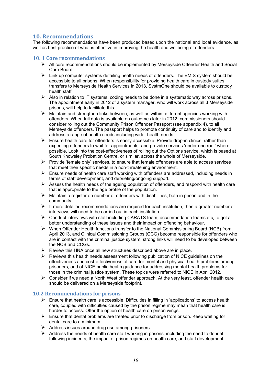## **10. Recommendations**

The following recommendations have been produced based upon the national and local evidence, as well as best practice of what is effective in improving the health and wellbeing of offenders.

## **10. 1 Core recommendations**

- ¾ All core recommendations should be implemented by Merseyside Offender Health and Social Care Board.
- $\triangleright$  Link up computer systems detailing health needs of offenders. The EMIS system should be accessible to all prisons. When responsibility for providing health care in custody suites transfers to Merseyside Health Services in 2013, SystmOne should be available to custody health staff.
- $\triangleright$  Also in relation to IT systems, coding needs to be done in a systematic way across prisons. The appointment early in 2012 of a system manager, who will work across all 3 Merseyside prisons, will help to facilitate this.
- $\triangleright$  Maintain and strengthen links between, as well as within, different agencies working with offenders. When full data is available on outcomes later in 2012, commissioners should consider rolling out the Community Prison Offender Passport (see appendix 4), to all Merseyside offenders. The passport helps to promote continuity of care and to identify and address a range of health needs including wider health needs.
- $\triangleright$  Ensure health care for offenders is easily accessible. Provide drop-in clinics, rather than expecting offenders to wait for appointments, and provide services 'under one roof' where possible. Look into the cost-effectiveness of rolling out the Options service, which is based at South Knowsley Probation Centre, or similar, across the whole of Merseyside.
- $\triangleright$  Provide 'female only' services, to ensure that female offenders are able to access services that meet their specific needs in a non-threatening environment.
- $\triangleright$  Ensure needs of health care staff working with offenders are addressed, including needs in terms of staff development, and debriefing/ongoing support.
- $\triangleright$  Assess the health needs of the ageing population of offenders, and respond with health care that is appropriate to the age profile of the population.
- $\triangleright$  Maintain a register on number of offenders with disabilities, both in prison and in the community.
- ¾ If more detailed recommendations are required for each institution, then a greater number of interviews will need to be carried out in each institution.
- $\triangleright$  Conduct interviews with staff including CARATS team, accommodation teams etc, to get a better understanding of these issues and their impact on offending behaviour.
- $\triangleright$  When Offender Health functions transfer to the National Commissioning Board (NCB) from April 2013, and Clinical Commissioning Groups (CCG) become responsible for offenders who are in contact with the criminal justice system, strong links will need to be developed between the NCB and CCGs.
- $\triangleright$  Review this HNA once all new structures described above are in place.
- $\triangleright$  Reviews this health needs assessment following publication of NICE guidelines on the effectiveness and cost-effectiveness of care for mental and physical health problems among prisoners, and of NICE public health guidance for addressing mental health problems for those in the criminal justice system. These topics were referred to NICE in April 2012.
- $\triangleright$  Consider if we need a North West offender approach. At the very least, offender health care should be delivered on a Merseyside footprint.

## **10.2 Recommendations for prisons**

- $\triangleright$  Ensure that health care is accessible. Difficulties in filling in 'applications' to access health care, coupled with difficulties caused by the prison regime may mean that health care is harder to access. Offer the option of health care on prison wings.
- $\triangleright$  Ensure that dental problems are treated prior to discharge from prison. Keep waiting for dental care to a minimum.
- $\triangleright$  Address issues around drug use among prisoners.
- $\triangleright$  Address the needs of health care staff working in prisons, including the need to debrief following incidents, the impact of prison regimes on health care, and staff development,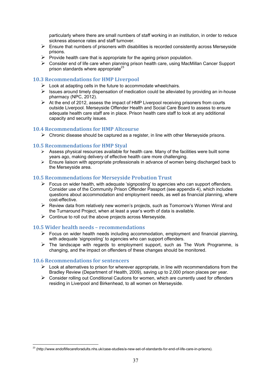particularly where there are small numbers of staff working in an institution, in order to reduce sickness absence rates and staff turnover.

- $\triangleright$  Ensure that numbers of prisoners with disabilities is recorded consistently across Merseyside prisons.
- $\triangleright$  Provide health care that is appropriate for the ageing prison population.
- $\triangleright$  Consider end of life care when planning prison health care, using MacMillan Cancer Support prison standards where appropriate $23$

## **10.3 Recommendations for HMP Liverpool**

- $\triangleright$  Look at adapting cells in the future to accommodate wheelchairs.
- $\triangleright$  Issues around timely dispensation of medication could be alleviated by providing an in-house pharmacy (NPC, 2012).
- $\triangleright$  At the end of 2012, assess the impact of HMP Liverpool receiving prisoners from courts outside Liverpool. Merseyside Offender Health and Social Care Board to assess to ensure adequate health care staff are in place. Prison health care staff to look at any additional capacity and security issues.

## **10.4 Recommendations for HMP Altcourse**

 $\triangleright$  Chronic disease should be captured as a register, in line with other Merseyside prisons.

## **10.5 Recommendations for HMP Styal**

- $\triangleright$  Assess physical resources available for health care. Many of the facilities were built some years ago, making delivery of effective health care more challenging.
- ¾ Ensure liaison with appropriate professionals in advance of women being discharged back to the Merseyside area.

## **10.5 Recommendations for Merseyside Probation Trust**

- $\triangleright$  Focus on wider health, with adequate 'signposting' to agencies who can support offenders. Consider use of the Community Prison Offender Passport (see appendix 4), which includes questions about accommodation and employment needs, as well as financial planning, where cost-effective.
- $\triangleright$  Review data from relatively new women's projects, such as Tomorrow's Women Wirral and the Turnaround Project, when at least a year's worth of data is available.
- $\triangleright$  Continue to roll out the above projects across Merseyside.

## **10.5 Wider health needs – recommendations**

- $\triangleright$  Focus on wider health needs including accommodation, employment and financial planning, with adequate 'signposting' to agencies who can support offenders.
- $\triangleright$  The landscape with regards to employment support, such as The Work Programme, is changing, and the impact on offenders of these changes should be monitored.

## **10.6 Recommendations for sentencers**

- $\triangleright$  Look at alternatives to prison for wherever appropriate, in line with recommendations from the Bradley Review (Department of Health, 2009), saving up to 2,000 prison places per year.
- $\triangleright$  Consider rolling out Conditional Cautions for women, which are currently used for offenders residing in Liverpool and Birkenhead, to all women on Merseyside.

 $\overline{a}$  $^{23}$  (http://www.endoflifecareforadults.nhs.uk/case-studies/a-new-set-of-standards-for-end-of-life-care-in-prisons).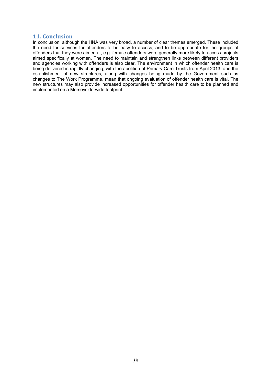## **11. Conclusion**

In conclusion, although the HNA was very broad, a number of clear themes emerged. These included the need for services for offenders to be easy to access, and to be appropriate for the groups of offenders that they were aimed at, e.g. female offenders were generally more likely to access projects aimed specifically at women. The need to maintain and strengthen links between different providers and agencies working with offenders is also clear. The environment in which offender health care is being delivered is rapidly changing, with the abolition of Primary Care Trusts from April 2013, and the establishment of new structures, along with changes being made by the Government such as changes to The Work Programme, mean that ongoing evaluation of offender health care is vital. The new structures may also provide increased opportunities for offender health care to be planned and implemented on a Merseyside-wide footprint.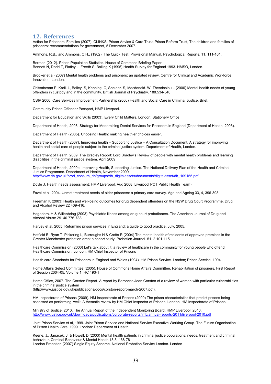## **12. References**

Action for Prisoners' Families (2007). CLINKS, Prison Advice & Care Trust, Prison Reform Trust, The children and families of prisoners: recommendations for government, 5 December 2007.

Ammons, R.B., and Ammons, C.H., (1962), The Quick Test: Provisional Manual, Psychological Reports, 11, 111-161.

Berman (2012). Prison Population Statistics. House of Commons Briefing Paper Bennett N, Dodd T, Flatley J, Freeth S, Bolling K (1995) Health Survey for England 1993. HMSO, London.

Brooker et al (2007) Mental health problems and prisoners: an updated review. Centre for Clinical and Academic Workforce Innovation, London.

Chitsabesan P, Kroll. L, Bailey. S, Kenning. C, Sneider. S, Macdonald. W, Theodosiou L (2006) Mental health needs of young offenders in custody and in the community. British Journal of Psychiatry. 188.534-540.

CSIP 2006. Care Services Improvement Partnership (2006) Health and Social Care in Criminal Justice. Brief.

Community Prison Offender Passport, HMP Liverpool.

Department for Education and Skills (2003), Every Child Matters. London: Stationery Office

Department of Health, 2003. Strategy for Modernising Dental Services for Prisoners in England (Department of Health, 2003).

Department of Health (2005). Choosing Health: making healthier choices easier.

Department of Health (2007). Improving health – Supporting Justice – A Consultation Document. A strategy for improving health and social care of people subject to the criminal justice system. Department of Health, London.

Department of Health, 2009. The Bradley Report: Lord Bradley's Review of people with mental health problems and learning disabilities in the criminal justice system. April 2009

Department of Health, 2009b. Improving Health, Supporting Justice. The National Delivery Plan of the Health and Criminal Justice Programme. Department of Health, November 2009 http://www.dh.gov.uk/prod\_consum\_dh/groups/dh\_digitalassets/documents/digitalasset/dh\_109155.pdf

Doyle J. Health needs assessment: HMP Liverpool. Aug 2008, Liverpool PCT Public Health Team).

Fazel et al, 2004. Unmet treatment needs of older prisoners: a primary care survey. Age and Ageing 33, 4, 396-398.

Freeman K (2003) Health and well-being outcomes for drug dependent offenders on the NSW Drug Court Programme. Drug and Alcohol Review 22 409-416.

Hagedorn. H & Willenbring (2003) Psychiatric illness among drug court probationers. The American Journal of Drug and Alcohol Abuse 29. 40 776-788.

Harvey et al, 2005. Reforming prison services in England: a guide to good practice. July, 2005.

Hatfield B, Ryan T, Pickering L, Burroughs H & Crofts R (2004) The mental health of residents of approved premises in the Greater Manchester probation area: a cohort study. Probation Journal. 51. 2 101-115

Healthcare Commission (2006) Let's talk about it: a review of healthcare in the community for young people who offend. Healthcare Commission. London. HM Chief Inspector of Prisons

Health care Standards for Prisoners in England and Wales (1994). HM Prison Service. London; Prison Service. 1994.

Home Affairs Select Committee (2005). House of Commons Home Affairs Committee. Rehabilitation of prisoners, First Report of Session 2004-05, Volume 1, HC 193-1

Home Office, 2007. The Corston Report. A report by Baroness Jean Corston of a review of women with particular vulnerabilities in the criminal justice system

(http://www.justice.gov.uk/publications/docs/corston-report-march-2007.pdf).

HM Inspectorate of Prisons (2009). HM Inspectorate of Prisons (2009) The prison characteristics that predict prisons being assessed as performing 'well': A thematic review by HM Chief Inspector of Prisons, London: HM Inspectorate of Prisons.

Ministry of Justice, 2010. The Annual Report of the Independent Monitoring Board, HMP Liverpool, 2010. http://www.justice.gov.uk/downloads/publications/corporate-reports/imb/annual-reports-2011/liverpool-2010.pdf

Joint Prison Service et al, 1999. Joint Prison Service and National Service Executive Working Group. The Future Organisation of Prison Health Care. 1999. London: Department of Health

Keene. J., Janacek. J.,& Howell. D (2003) Mental health patients in criminal justice populations: needs, treatment and criminal behaviour. Criminal Behaviour & Mental Health 13.3, 168-78 London Probation (2007) Single Equity Scheme. National Probation Service London. London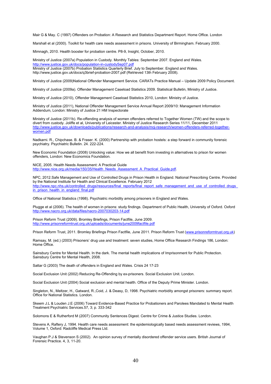Mair G & May. C (1997) Offenders on Probation: A Research and Statistics Department Report. Home Office. London

Marshall et al (2000). Toolkit for health care needs assessment in prisons. University of Birmingham. February 2000.

Mimnagh, 2010. Health booster for probation centre. P8-9, Insight, October, 2010.

Ministry of Justice (2007a) Population in Custody. Monthly Tables: September 2007. England and Wales. http://www.justice.gov.uk/docs/population-in-custodySep07.pdf Ministry of Justice (2007b) Probation Statistics Quarterly Brief. July to September. England and Wales. http://www.justice.gov.uk/docs/q3brief-probation-2007.pdf (Retrieved 13th February 2008).

Ministry of Justice (2009)National Offender Management Service. CARATs Practice Manual – Update 2009 Policy Document.

Ministry of Justice (2009a). Offender Management Caseload Statistics 2009. Statistical Bulletin, Ministry of Justice.

Ministry of Justice (2010), Offender Management Caseload Statistics 2010, London: Ministry of Justice.

Ministry of Justice (2011), National Offender Management Service Annual Report 2009/10: Management Information Addendum, London: Ministry of Justice 21 HM Inspectorate

Ministry of Justice (2011b). Re-offending analysis of women offenders referred to Together Women (TW) and the scope to divert from custody. Joliffe et al, University of Leicester. Ministry of Justice Research Series 11/11, December 2011 http://www.justice.gov.uk/downloads/publications/research-and-analysis/moj-research/women-offenders-referred-togetherwomen.pdf

Nadkarni. R., Chipchase. B. & Fraser. K. (2000) Partnership with probation hostels: a step forward in community forensic psychiatry. Psychiatric Bulletin. 24. 222-224.

New Economic Foundation (2008) Unlocking value: How we all benefit from investing in alternatives to prison for women offenders, London: New Economics Foundation.

NICE, 2005. Health Needs Assessment: A Practical Guide http://www.nice.org.uk/media/150/35/Health\_Needs\_Assessment\_A\_Practical\_Guide.pdf.

NPC, 2012.Safe Management and Use of Controlled Drugs in Prison Health in England. National Prescribing Centre. Provided by the National Institute for Health and Clinical Excellence. February 2012 http://www.npc.nhs.uk/controlled\_drugs/resources/final\_reports/final\_report\_safe\_management\_and\_use\_of\_controlled\_drugs\_ in prison health in england final.pdf

Office of National Statistics (1998). Psychiatric morbidity among prisoners in England and Wales.

Plugge et al (2006). The health of women in prisons: study findings. Department of Public Health, University of Oxford. Oxford http://www.nacro.org.uk/data/files/nacro-2007030203-14.pdf

Prison Reform Trust (2009). Bromley Briefings, Prison Factfile, June 2009. http://www.prisonreformtrust.org.uk/uploads/documents/june2009factfile.pdf

Prison Reform Trust, 2011. Bromley Briefings Prison Factfile, June 2011. Prison Reform Trust (www.prisonreformtrust.org.uk)

Ramsay, M. (ed.) (2003) Prisoners' drug use and treatment: seven studies, Home Office Research Findings 186, London: Home Office.

Sainsbury Centre for Mental Health. In the dark. The mental health implications of Imprisonment for Public Protection. Sainsbury Centre for Mental Health, 2008.

Sattar G (2003) The death of offenders in England and Wales. Crisis 24 17-23

Social Exclusion Unit (2002) Reducing Re-Offending by ex-prisoners. Social Exclusion Unit. London.

Social Exclusion Unit (2004) Social exclusion and mental health. Office of the Deputy Prime Minister. London.

Singleton, N., Meltzer, H., Gatward, R.,Coid, J. & Deasy, D, 1998. Psychiatric morbidity amongst prisoners: summary report. Office for National Statistics. London.

Skeem J.L & Louden J.E (2006) Toward Evidence-Based Practice for Probationers and Parolees Mandated to Mental Health Treatment Psychiatric Services.57, 3; p. 333-342

Solomons E & Rutherford M (2007) Community Sentences Digest. Centre for Crime & Justice Studies. London.

Stevens A, Raftery J, 1994. Health care needs assessment: the epidemiologically based needs assessment reviews, 1994, Volume 1, Oxford: Radcliffe Medical Press Ltd.

Vaughan P.J & Stevenson S (2002). An opinion survey of mentally disordered offender service users. British Journal of Forensic Practice. 4, 3, 11-20.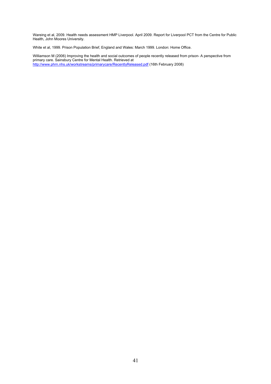Wareing et al, 2009. Health needs assessment HMP Liverpool. April 2009. Report for Liverpool PCT from the Centre for Public Health, John Moores University.

White et al, 1999. Prison Population Brief, England and Wales: March 1999. London: Home Office.

Williamson M (2006) Improving the health and social outcomes of people recently released from prison- A perspective from primary care. Sainsbury Centre for Mental Health. Retrieved at http://www.phrn.nhs.uk/workstreams/primarycare/RecentlyReleased.pdf (16th February 2008)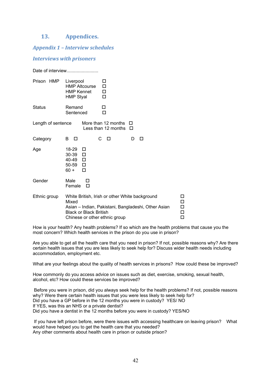## **13. Appendices.**

*Appendix 1 – Interview schedules* 

## *Interviews with prisoners*

|                    | Date of interview                                                                                                                                                                                                   |        |  |  |  |
|--------------------|---------------------------------------------------------------------------------------------------------------------------------------------------------------------------------------------------------------------|--------|--|--|--|
| Prison HMP         | Liverpool<br>□<br><b>HMP Altcourse</b><br>□<br><b>HMP Kennet</b><br>□<br><b>HMP Styal</b><br>$\Box$                                                                                                                 |        |  |  |  |
| Status             | Remand<br>□<br>Sentenced<br>п                                                                                                                                                                                       |        |  |  |  |
| Length of sentence | More than 12 months<br>Less than 12 months                                                                                                                                                                          | П<br>□ |  |  |  |
| Category           | С<br>B<br>□<br>п                                                                                                                                                                                                    | D<br>п |  |  |  |
| Age                | 18-29<br>□<br>30-39<br>$\Box$<br>40-49 □<br>$50-59$ $\Box$<br>$60 +$<br>П                                                                                                                                           |        |  |  |  |
| Gender             | Male<br>П<br>Female<br>□                                                                                                                                                                                            |        |  |  |  |
| Ethnic group       | White British, Irish or other White background<br>Mixed<br>$\Box$<br>П<br>Asian - Indian, Pakistani, Bangladeshi, Other Asian<br><b>Black or Black British</b><br>$\Box$<br>Chinese or other ethnic group<br>$\Box$ |        |  |  |  |

How is your health? Any health problems? If so which are the health problems that cause you the most concern? Which health services in the prison do you use in prison?

Are you able to get all the health care that you need in prison? If not, possible reasons why? Are there certain health issues that you are less likely to seek help for? Discuss wider health needs including accommodation, employment etc.

What are your feelings about the quality of health services in prisons? How could these be improved?

How commonly do you access advice on issues such as diet, exercise, smoking, sexual health, alcohol, etc? How could these services be improved?

 Before you were in prison, did you always seek help for the health problems? If not, possible reasons why? Were there certain health issues that you were less likely to seek help for? Did you have a GP before in the 12 months you were in custody? YES/ NO If YES, was this an NHS or a private dentist? Did you have a dentist in the 12 months before you were in custody? YES/NO

 If you have left prison before, were there issues with accessing healthcare on leaving prison? What would have helped you to get the health care that you needed? Any other comments about health care in prison or outside prison?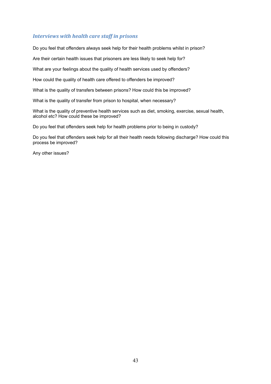## *Interviews with health care staff in prisons*

Do you feel that offenders always seek help for their health problems whilst in prison?

Are their certain health issues that prisoners are less likely to seek help for?

What are your feelings about the quality of health services used by offenders?

How could the quality of health care offered to offenders be improved?

What is the quality of transfers between prisons? How could this be improved?

What is the quality of transfer from prison to hospital, when necessary?

What is the quality of preventive health services such as diet, smoking, exercise, sexual health, alcohol etc? How could these be improved?

Do you feel that offenders seek help for health problems prior to being in custody?

Do you feel that offenders seek help for all their health needs following discharge? How could this process be improved?

Any other issues?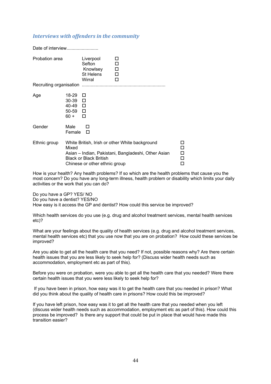## *Interviews with offenders in the community*

| Date of interview |                                                         |                                                                |                                                                                                       |                            |
|-------------------|---------------------------------------------------------|----------------------------------------------------------------|-------------------------------------------------------------------------------------------------------|----------------------------|
| Probation area    |                                                         | Liverpool<br>Sefton<br>Knowlsey<br><b>St Helens</b><br>Wirral  | п<br>П<br>$\Box$<br>$\Box$<br>п                                                                       |                            |
| Age               | 18-29<br>30-39 □<br>40-49 □<br>$50-59$ $\Box$<br>$60 +$ | $\Box$<br>п                                                    |                                                                                                       |                            |
| Gender            | Male<br>Female                                          | H<br>П                                                         |                                                                                                       |                            |
| Ethnic group      | Mixed                                                   | <b>Black or Black British</b><br>Chinese or other ethnic group | White British, Irish or other White background<br>Asian – Indian, Pakistani, Bangladeshi, Other Asian | □<br>$\Box$<br>$\Box$<br>□ |

How is your health? Any health problems? If so which are the health problems that cause you the most concern? Do you have any long-term illness, health problem or disability which limits your daily activities or the work that you can do?

Do you have a GP? YES/ NO Do you have a dentist? YES/NO How easy is it access the GP and dentist? How could this service be improved?

Which health services do you use (e.g. drug and alcohol treatment services, mental health services etc)?

What are your feelings about the quality of health services (e.g. drug and alcohol treatment services, mental health services etc) that you use now that you are on probation? How could these services be improved?

Are you able to get all the health care that you need? If not, possible reasons why? Are there certain health issues that you are less likely to seek help for? (Discuss wider health needs such as accommodation, employment etc as part of this).

Before you were on probation, were you able to get all the health care that you needed? Were there certain health issues that you were less likely to seek help for?

 If you have been in prison, how easy was it to get the health care that you needed in prison? What did you think about the quality of health care in prisons? How could this be improved?

If you have left prison, how easy was it to get all the health care that you needed when you left (discuss wider health needs such as accommodation, employment etc as part of this). How could this process be improved? Is there any support that could be put in place that would have made this transition easier?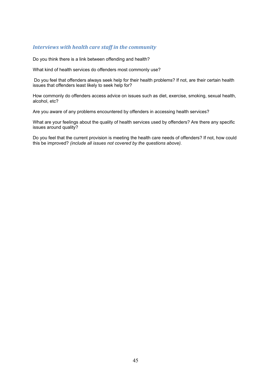## *Interviews with health care staff in the community*

Do you think there is a link between offending and health?

What kind of health services do offenders most commonly use?

 Do you feel that offenders always seek help for their health problems? If not, are their certain health issues that offenders least likely to seek help for?

How commonly do offenders access advice on issues such as diet, exercise, smoking, sexual health, alcohol, etc?

Are you aware of any problems encountered by offenders in accessing health services?

What are your feelings about the quality of health services used by offenders? Are there any specific issues around quality?

Do you feel that the current provision is meeting the health care needs of offenders? If not, how could this be improved? *(include all issues not covered by the questions above).*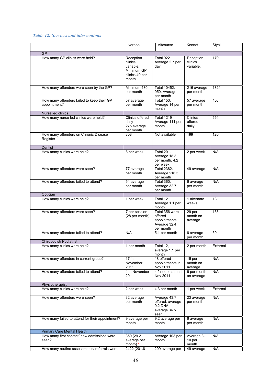## *Table 12: Services and interventions*

|                                                            | Liverpool                                                                  | Altcourse                                                               | Kennet                            | Styal    |
|------------------------------------------------------------|----------------------------------------------------------------------------|-------------------------------------------------------------------------|-----------------------------------|----------|
| <b>GP</b>                                                  |                                                                            |                                                                         |                                   |          |
| How many GP clinics were held?                             | Reception<br>clinics<br>variable.<br>Minimum GP<br>clinics 40 per<br>month | Total 922.<br>Average 2.7 per<br>day.                                   | Reception<br>clinics<br>variable. | 179      |
| How many offenders were seen by the GP?                    | Minimum 480<br>per month                                                   | Total 10452.<br>950. Average<br>per month                               | 216 average<br>per month          | 1821     |
| How many offenders failed to keep their GP<br>appointment? | 57 average<br>per month                                                    | <b>Total 153.</b><br>Average 14 per<br>month                            | 57 average<br>per month           | 406      |
| Nurse led clinics                                          |                                                                            |                                                                         |                                   |          |
| How many nurse led clinics were held?                      | Clinics offered<br>daily<br>275 average<br>per month                       | <b>Total 1219</b><br>Average 111 per<br>month                           | Clinics<br>offered<br>daily.      | 554      |
| How many offenders on Chronic Disease<br>Register          | 308                                                                        | Not available                                                           | 199                               | 120      |
| Dentist                                                    |                                                                            |                                                                         |                                   |          |
| How many clinics were held?                                | 8 per week                                                                 | <b>Total 201.</b><br>Average 18.3<br>per month, 4.2<br>per week         | 2 per week                        | N/A      |
| How many offenders were seen?                              | 77 average<br>per month                                                    | <b>Total 2382.</b><br>Average 216.5<br>per month                        | 49 average                        | N/A      |
| How many offenders failed to attend?                       | 54 average<br>per month                                                    | Total 360.<br>Average 32.7<br>per month                                 | 6 average<br>per month            | N/A      |
| Optician                                                   |                                                                            |                                                                         |                                   |          |
| How many clinics were held?                                | 1 per week                                                                 | Total 12.<br>Average 1.1 per<br>month                                   | 1 alternate<br>weeks              | 18       |
| How many offenders were seen?                              | 7 per session<br>(28 per month)                                            | Total 356 were<br>offered<br>appointments.<br>Average 32.4<br>per month | 29 per<br>month on<br>average     | 133      |
| How many offenders failed to attend?                       | N/A                                                                        | 5.1 per month                                                           | 6 average<br>per month            | 59       |
| Chiropodist/ Podiatrist                                    |                                                                            |                                                                         |                                   |          |
| How many clinics were held?                                | 1 per month                                                                | Total 12,<br>average 1.1 per<br>month                                   | 2 per month                       | External |
| How many offenders in current group?                       | 17 in<br>November<br>2011                                                  | 18 offered<br>appointments in<br>Nov 2011                               | 15 per<br>month on<br>average     | N/A      |
| How many offenders failed to attend?                       | 4 in November<br>2011                                                      | 4 failed to attend<br>Nov 2011                                          | 6 per month<br>on average         | N/A      |
| Physiotherapist                                            |                                                                            |                                                                         |                                   |          |
| How many clinics were held?                                | 2 per week                                                                 | 4.3 per month                                                           | 1 per week                        | External |
| How many offenders were seen?                              | 32 average<br>per month                                                    | Average 43.7<br>offered, average<br>9.2 DNA;<br>average 34.5<br>seen    | 23 average<br>per month           | N/A      |
| How many failed to attend for their appointment?           | 9 average per<br>month                                                     | 9.2 average per<br>month                                                | 6 average<br>per month            | N/A      |
| Primary Care Mental Health                                 |                                                                            |                                                                         |                                   |          |
| How many first contact/ new admissions were<br>seen?       | 350 (29.2)<br>average per<br>month) *                                      | Average 103 per<br>month                                                | Average 8-<br>10 per<br>month     | N/A      |
| How many routine assessments/ referrals were               | 2422 (201.8                                                                | 209 average per                                                         | 49 average                        | N/A      |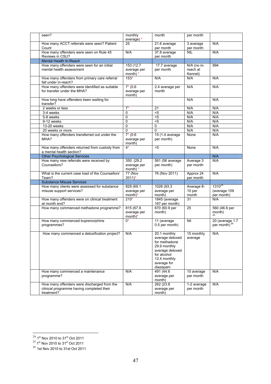| seen?                                                                                                  | monthly<br>average) *                  | month                                                                                                                                         | per month                |                                             |
|--------------------------------------------------------------------------------------------------------|----------------------------------------|-----------------------------------------------------------------------------------------------------------------------------------------------|--------------------------|---------------------------------------------|
| How many ACCT referrals were seen? Patient<br>Count                                                    | 25                                     | 21.6 average<br>per month                                                                                                                     | 3 average<br>per month   | N/A                                         |
| How many offenders were seen on Rule 45                                                                | N/A                                    | 37.8 average                                                                                                                                  | <b>NIL</b>               | N/A                                         |
| Reviews in CSU?                                                                                        |                                        | per month                                                                                                                                     |                          |                                             |
| Mental Health In-Reach                                                                                 |                                        |                                                                                                                                               |                          |                                             |
| How many offenders were seen for an initial                                                            | 153 (12.7                              | 17.7 average                                                                                                                                  | N/A (no in-              | 994                                         |
| mental health assessment                                                                               | average per<br>month) $*$              | per month                                                                                                                                     | reach at<br>Kennet)      |                                             |
| How many offenders from primary care referral<br>fall under in-reach?                                  | $153*$                                 | N/A                                                                                                                                           | N/A                      | N/A                                         |
| How many offenders were identified as suitable<br>for transfer under the MHA?                          | $7* (0.6)$<br>average per<br>month)    | 2.4 average per<br>month                                                                                                                      | N/A                      | N/A                                         |
| How long have offenders been waiting for<br>transfer?                                                  |                                        |                                                                                                                                               | N/A                      | N/A                                         |
| 2 weeks or less                                                                                        | $7*$                                   | 21                                                                                                                                            | N/A                      | N/A                                         |
| 3-4 weeks                                                                                              | 0                                      | $5$                                                                                                                                           | N/A                      | N/A                                         |
| 5-8 weeks                                                                                              | 0                                      | $5$                                                                                                                                           | N/A                      | N/A                                         |
| 9-12 weeks                                                                                             | $\overline{0}$                         | $5$                                                                                                                                           | N/A                      | N/A                                         |
| 13-20 weeks                                                                                            | 0                                      | 0                                                                                                                                             | N/A                      | N/A                                         |
| 20 weeks or more                                                                                       | 0                                      | $\mathbf 0$                                                                                                                                   | N/A                      | N/A                                         |
| How many offenders transferred out under the<br>MHA?                                                   | $7*(0.6)$<br>average per<br>month)     | 15 (1.4 average<br>per month)                                                                                                                 | None                     | N/A                                         |
| How many offenders returned from custody from<br>a mental health section?                              | $4*$                                   | <5                                                                                                                                            | None                     | N/A                                         |
| <b>Other Psychological Services</b>                                                                    |                                        |                                                                                                                                               |                          | N/A                                         |
| How many new referrals were received by<br>Counsellors?                                                | 350 (29.2)<br>average per<br>month) *  | 561 (56 average<br>per month)                                                                                                                 | Average 3<br>per month   | N/A                                         |
| What is the current case load of the Counsellors'<br>Team?                                             | <b>77 (Nov</b><br>$2011$ <sup>*</sup>  | 76 (Nov 2011)                                                                                                                                 | Approx 24<br>per month   | N/A                                         |
| <b>Substance Misuse Services</b>                                                                       |                                        |                                                                                                                                               |                          |                                             |
| How many clients were assessed for substance                                                           | 829 (69.1                              | 1026 (93.3                                                                                                                                    | Average 8-               | $1310^{24}$                                 |
| misuse support services?                                                                               | average per                            | average per                                                                                                                                   | 10 per                   | (average 109                                |
|                                                                                                        | $month)^*$                             | month)                                                                                                                                        | month                    | per month)                                  |
| How many offenders were on clinical treatment<br>at month end?                                         | $210*$                                 | 1845 (average<br>167 per month)                                                                                                               | 31                       | N/A                                         |
| How many commenced methadone programme?                                                                | 815 (67.9<br>average per<br>$month)^*$ | 670 (60.9 per<br>month)                                                                                                                       | 25                       | 560 (46.6 per<br>month)                     |
| How many commenced buprenorphine<br>programmes?                                                        | 0*                                     | 11 (average<br>0.5 per month)                                                                                                                 | Nil                      | 20 (average 1.7<br>per month) <sup>26</sup> |
| How many commenced a detoxification project?                                                           | N/A                                    | 20.1 monthly<br>average detoxed<br>for methadone<br>29.9 monthly<br>average detoxed<br>for alcohol<br>12.4 monthly<br>average for<br>diazepam | 15 monthly<br>average    | N/A                                         |
| How many commenced a maintenance<br>programme?                                                         | N/A                                    | 491 (44.6)<br>average per<br>month)                                                                                                           | 10 average<br>per month  | N/A                                         |
| How many offenders were discharged from the<br>clinical programme having completed their<br>treatment? | N/A                                    | 262 (23.8)<br>average per<br>month)                                                                                                           | 1-2 average<br>per month | N/A                                         |

 $^{24}$  1<sup>st</sup> Nov 2010 to 31<sup>st</sup> Oct 2011

 $^{25}$  1<sup>st</sup> Nov 2010 to 31<sup>st</sup> Oct 2011

 $^{26}$  1st Nov 2010 to 31st Oct 2011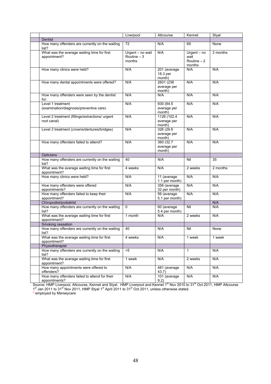|                                                                | Liverpool                                  | Altcourse                             | Kennet                                             | Styal    |
|----------------------------------------------------------------|--------------------------------------------|---------------------------------------|----------------------------------------------------|----------|
| Dentist                                                        |                                            |                                       |                                                    |          |
| How many offenders are currently on the waiting<br>list?       | 72                                         | N/A                                   | 69                                                 | None     |
| What was the average waiting time for first<br>appointment?    | Urgent - no wait<br>Routine $-3$<br>months | N/A                                   | $U$ rgent $-$ no<br>wait<br>Routine $-2$<br>months | 2 months |
| How many clinics were held?                                    | N/A                                        | 201 (average<br>18.3 per<br>month)    | N/A                                                | N/A      |
| How many dental appointments were offered?                     | N/A                                        | 2601 (236)<br>average per<br>month)   | N/A                                                | N/A      |
| How many offenders were seen by the dentist<br>for:            | N/A                                        | N/A                                   | N/A                                                | N/A      |
| Level 1 treatment<br>(examination/diagnosis/preventive care)   | N/A                                        | 930 (84.5<br>average per<br>month)    | N/A                                                | N/A      |
| Level 2 treatment (fillings/extractions/ urgent<br>root canal) | N/A                                        | 1126 (102.4)<br>average per<br>month) | N/A                                                | N/A      |
| Level 3 treatment (crowns/dentures/bridges)                    | N/A                                        | 326 (29.6)<br>average per<br>month)   | N/A                                                | N/A      |
| How many offenders failed to attend?                           | N/A                                        | 360 (32.7)<br>average per<br>month)   | N/A                                                | N/A      |
| Opticians                                                      |                                            |                                       |                                                    |          |
| How many offenders are currently on the waiting<br>list?       | 40                                         | N/A                                   | Nil                                                | 35       |
| What was the average waiting time for first<br>appointment?    | 4 weeks                                    | N/A                                   | 2 weeks                                            | 2 months |
| How many clinics were held?                                    | N/A                                        | 11 (average<br>1.1 per month)         | N/A                                                | N/A      |
| How many offenders were offered<br>appointments?               | N/A                                        | 356 (average<br>32 per month)         | N/A                                                | N/A      |
| How many offenders failed to keep their<br>appointment?        | N/A                                        | 56 (average<br>5.1 per month)         | N/A                                                | N/A      |
| Chiropodist/podiatrist                                         |                                            |                                       |                                                    | N/A      |
| How many offenders are currently on the waiting<br>list?       | $\Omega$                                   | 60 (average<br>5.4 per month)         | Nil                                                | N/A      |
| What was the average waiting time for first<br>appointment?    | 1 month                                    | N/A                                   | 2 weeks                                            | N/A      |
| Smoking cessation                                              |                                            |                                       |                                                    |          |
| How many offenders are currently on the waiting<br>list?       | 40                                         | N/A                                   | Nil                                                | None     |
| What was the average waiting time for first<br>appointment?    | 4 weeks                                    | N/A                                   | 1 week                                             | 1 week   |
| Physiotherapist                                                |                                            |                                       |                                                    |          |
| How many offenders are currently on the waiting<br>list?       | $5$                                        | N/A                                   | 1                                                  | N/A      |
| What was the average waiting time for first<br>appointment?    | 1 week                                     | N/A                                   | 2 weeks                                            | N/A      |
| How many appointments were offered to<br>offenders?            | N/A                                        | 481 (average<br>43.7)                 | N/A                                                | N/A      |
| How many offenders failed to attend for their<br>appointments? | N/A                                        | 101 (average<br>9.2)                  | N/A                                                | N/A      |

Source: HMP Liverpool, Altcourse, Kennet and Styal. HMP Liverpool and Kennet 1<sup>st</sup> Nov 2010 to 31<sup>st</sup> Oct 2011, HMP Altcourse 1<sup>st</sup> Jan 2011 to 31<sup>st</sup> Nov 2011, HMP Styal 1<sup>st</sup> April 2011 to 31<sup>st</sup> Oct 2011, unless otherwise stated.

\* employed by Merseycare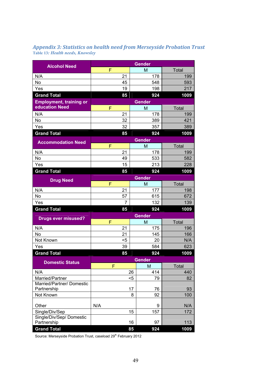| <b>Appendix 3: Statistics on health need from Merseyside Probation Trust</b> |  |
|------------------------------------------------------------------------------|--|
| <b>Table 13: Health needs, Knowsley</b>                                      |  |

| <b>Alcohol Need</b>                          | <b>Gender</b> |     |               |     |              |
|----------------------------------------------|---------------|-----|---------------|-----|--------------|
|                                              | F             |     | M             |     | Total        |
| N/A                                          |               | 21  |               | 178 | 199          |
| No                                           |               | 45  |               | 548 | 593          |
| Yes                                          |               | 19  |               | 198 | 217          |
| <b>Grand Total</b>                           |               | 85  |               | 924 | 1009         |
| <b>Employment, training or</b>               |               |     | <b>Gender</b> |     |              |
| <b>education Need</b>                        | F             |     | M             |     | Total        |
| N/A                                          |               | 21  |               | 178 | 199          |
| No                                           |               | 32  |               | 389 | 421          |
| Yes                                          |               | 32  |               | 357 | 389          |
| <b>Grand Total</b>                           |               | 85  |               | 924 | 1009         |
| <b>Accommodation Need</b>                    |               |     | <b>Gender</b> |     |              |
|                                              | F             |     | M             |     | Total        |
| N/A                                          |               | 21  |               | 178 | 199          |
| No                                           |               | 49  |               | 533 | 582          |
| Yes                                          |               | 15  |               | 213 | 228          |
| <b>Grand Total</b>                           |               | 85  |               | 924 | 1009         |
| <b>Drug Need</b>                             | <b>Gender</b> |     |               |     |              |
|                                              | F             |     | M             |     | <b>Total</b> |
| N/A                                          |               | 21  |               | 177 | 198          |
| <b>No</b>                                    |               | 57  |               | 615 | 672          |
| Yes                                          |               | 7   |               | 132 | 139          |
| <b>Grand Total</b>                           |               | 85  |               | 924 | 1009         |
| <b>Drugs ever misused?</b>                   |               |     | <b>Gender</b> |     |              |
|                                              | F             |     | M             |     | <b>Total</b> |
| N/A                                          |               | 21  |               | 175 | 196          |
| No                                           |               | 21  |               | 145 | 166          |
| Not Known                                    |               | $5$ |               | 20  | N/A          |
| Yes                                          |               | 39  |               | 584 | 623          |
| <b>Grand Total</b>                           |               | 85  |               | 924 | 1009         |
| <b>Domestic Status</b>                       |               |     | Gender        |     |              |
|                                              | P             |     | M             |     | <b>Total</b> |
| N/A                                          |               |     | 26            | 414 | 440          |
| Married/Partner<br>Married/Partner/ Domestic |               |     | $5$           | 79  | 82           |
| Partnership                                  |               |     | 17            | 76  | 93           |
| Not Known                                    |               |     | 8             | 92  | 100          |
|                                              |               |     |               |     |              |
| Other                                        | N/A           |     |               | 9   | N/A          |
| Single/Div/Sep                               |               |     | 15            | 157 | 172          |
| Single/Div/Sep/ Domestic                     |               |     |               |     |              |
| Partnership                                  |               |     | 16            | 97  | 113          |
| <b>Grand Total</b>                           |               |     | 85            | 924 | 1009         |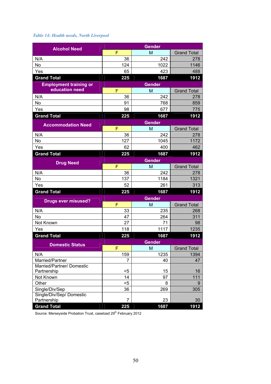## *Table 14: Health needs, North Liverpool*

| <b>Alcohol Need</b>                      | <b>Gender</b> |               |                    |
|------------------------------------------|---------------|---------------|--------------------|
|                                          | F             | M             | <b>Grand Total</b> |
| N/A                                      | 36            | 242           | 278                |
| No                                       | 124           | 1022          | 1146               |
| Yes                                      | 65            | 423           | 488                |
| <b>Grand Total</b>                       | 225           | 1687          | 1912               |
| <b>Employment training or</b>            |               | <b>Gender</b> |                    |
| education need                           | F             | M             | <b>Grand Total</b> |
| N/A                                      | 36            | 242           | 278                |
| No                                       | 91            | 768           | 859                |
| Yes                                      | 98            | 677           | 775                |
| <b>Grand Total</b>                       | 225           | 1687          | 1912               |
| <b>Accommodation Need</b>                |               | <b>Gender</b> |                    |
|                                          | F             | M             | <b>Grand Total</b> |
| N/A                                      | 36            | 242           | 278                |
| No                                       | 127           | 1045          | 1172               |
| Yes                                      | 62            | 400           | 462                |
| <b>Grand Total</b>                       | 225           | 1687          | 1912               |
| <b>Drug Need</b>                         |               | <b>Gender</b> |                    |
|                                          | F             | M             | <b>Grand Total</b> |
| N/A                                      | 36            | 242           | 278                |
| No                                       | 137           | 1184          | 1321               |
| Yes                                      | 52            | 261           | 313                |
| <b>Grand Total</b>                       | 225           | 1687          | 1912               |
| <b>Drugs ever misused?</b>               |               | <b>Gender</b> |                    |
|                                          | F             | M             | <b>Grand Total</b> |
| N/A                                      | 33            | 235           | 268                |
| No                                       | 47            | 264           | 311                |
| Not Known                                | 27            | 71            | 98                 |
| Yes                                      | 118           | 1117          | 1235               |
| <b>Grand Total</b>                       | 225           | 1687          | 1912               |
| <b>Domestic Status</b>                   |               | <b>Gender</b> |                    |
|                                          | F             | M             | <b>Grand Total</b> |
| N/A                                      | 159           | 1235          | 1394               |
| Married/Partner                          | 7             | 40            | 47                 |
| Married/Partner/ Domestic<br>Partnership | $5$           | 15            | 16                 |
| Not Known                                | 14            | 97            | 111                |
| Other                                    | $5$           | 8             | 9                  |
| Single/Div/Sep                           | 36            | 269           | 305                |
| Single/Div/Sep/ Domestic                 |               |               |                    |
| Partnership                              | 7             | 23            | 30                 |
| <b>Grand Total</b>                       | 225           | 1687          | 1912               |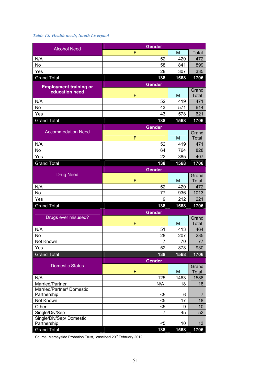## *Table 15: Health needs, South Liverpool*

| <b>Alcohol Need</b>                      | <b>Gender</b> |            |                |
|------------------------------------------|---------------|------------|----------------|
|                                          | F             | M          | <b>Total</b>   |
| N/A                                      | 52            | 420        | 472            |
| No                                       | 58            | 841        | 899            |
| Yes                                      | 28            | 307        | 335            |
| <b>Grand Total</b>                       | 138           | 1568       | 1706           |
| <b>Employment training or</b>            | <b>Gender</b> |            |                |
| education need                           |               |            | Grand          |
|                                          | F             | M          | Total          |
| N/A                                      | 52            | 419        | 471            |
| No                                       | 43            | 571        | 614            |
| Yes                                      | 43            | 578        | 621            |
| <b>Grand Total</b>                       | 138           | 1568       | 1706           |
| <b>Accommodation Need</b>                | <b>Gender</b> |            |                |
|                                          | F             | M          | Grand<br>Total |
| N/A                                      | 52            | 419        | 471            |
| No                                       | 64            | 764        | 828            |
| Yes                                      | 22            | 385        | 407            |
| <b>Grand Total</b>                       | 138           | 1568       | 1706           |
|                                          | <b>Gender</b> |            |                |
| <b>Drug Need</b>                         |               |            | Grand          |
|                                          | F             | M          | Total          |
| N/A                                      | 52            | 420        | 472            |
| <b>No</b>                                | 77            | 936        | 1013           |
| Yes                                      | 9             | 212        | 221            |
| <b>Grand Total</b>                       | 138           | 1568       | 1706           |
|                                          | <b>Gender</b> |            |                |
| Drugs ever misused?                      | F             |            | Grand          |
|                                          |               | M          | Total          |
| N/A<br>No                                | 51<br>28      | 413<br>207 | 464<br>235     |
| Not Known                                | 7             | 70         | 77             |
| Yes                                      | 52            | 878        | 930            |
| <b>Grand Total</b>                       | 138           | 1568       | 1706           |
|                                          | <b>Gender</b> |            |                |
| <b>Domestic Status</b>                   |               |            | Grand          |
|                                          | F             | M          | Total          |
| N/A                                      | 125           | 1463       | 1588           |
| Married/Partner                          | N/A           | 18         | 18             |
| Married/Partner/ Domestic<br>Partnership |               |            |                |
| Not Known                                | <5<br>$5$     | 6<br>17    | 7<br>18        |
| Other                                    | $5$           | 9          | 10             |
| Single/Div/Sep                           | 7             | 45         | 52             |
| Single/Div/Sep/ Domestic                 |               |            |                |
| Partnership                              | $5$           | 10         | 13             |
| <b>Grand Total</b>                       | 138           | 1568       | 1706           |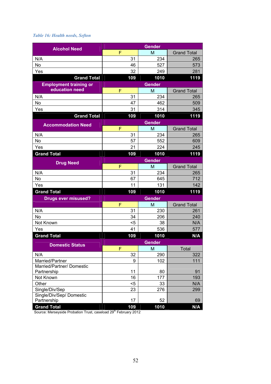## *Table 16: Health needs, Sefton*

| <b>Alcohol Need</b>           |          | <b>Gender</b> |                    |
|-------------------------------|----------|---------------|--------------------|
|                               | F        | M             | <b>Grand Total</b> |
| N/A                           | 31       | 234           | 265                |
| <b>No</b>                     | 46       | 527           | 573                |
| Yes                           | 32       | 249           | 281                |
| <b>Grand Total</b>            | 109      | 1010          | 1119               |
| <b>Employment training or</b> |          | <b>Gender</b> |                    |
| education need                | F        | M             | <b>Grand Total</b> |
| N/A                           | 31       | 234           | 265                |
| No                            | 47       | 462           | 509                |
| Yes                           | 31       | 314           | 345                |
| <b>Grand Total</b>            | 109      | 1010          | 1119               |
| <b>Accommodation Need</b>     |          | <b>Gender</b> |                    |
|                               | F        | M             | <b>Grand Total</b> |
| N/A                           | 31       | 234           | 265                |
| No                            | 57       | 552           | 609                |
| Yes                           | 21       | 224           | 245                |
| <b>Grand Total</b>            | 109      | 1010          | 1119               |
| <b>Drug Need</b>              |          | <b>Gender</b> |                    |
|                               | F        | M             | <b>Grand Total</b> |
| N/A                           | 31       | 234           | 265                |
| No                            | 67       | 645           | 712                |
| Yes                           | 11       | 131           | 142                |
| <b>Grand Total</b>            | 109      | 1010          | 1119               |
| <b>Drugs ever misused?</b>    |          | <b>Gender</b> |                    |
|                               | F        | M             | <b>Grand Total</b> |
| N/A                           | 31       | 230           | 261                |
| No                            | 34       | 206           | 240                |
| Not Known                     | <5       | 38            | N/A                |
| Yes                           | 41       | 536           | 577                |
| <b>Grand Total</b>            | 109      | 1010          | N/A                |
| <b>Domestic Status</b>        |          | <b>Gender</b> |                    |
|                               | F        | M             | Total              |
| N/A                           | 32       | 290           | 322                |
| Married/Partner               | 9        | 102           | 111                |
| Married/Partner/ Domestic     |          |               |                    |
| Partnership<br>Not Known      | 11<br>16 | 80<br>177     | 91<br>193          |
| Other                         | $5$      | 33            | N/A                |
| Single/Div/Sep                | 23       | 276           | 299                |
| Single/Div/Sep/ Domestic      |          |               |                    |
| Partnership                   | 17       | 52            | 69                 |
| <b>Grand Total</b>            | 109      | 1010          | N/A                |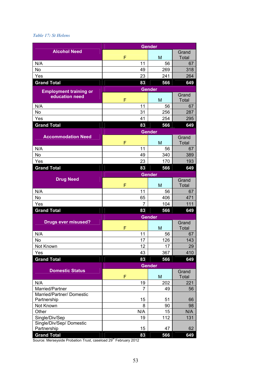## *Table 17: St Helens*

|                                              |               | <b>Gender</b> |              |
|----------------------------------------------|---------------|---------------|--------------|
| <b>Alcohol Need</b>                          |               |               | Grand        |
|                                              | F             | M             | Total        |
| N/A                                          | 11            | 56            | 67           |
| <b>No</b>                                    | 49            | 269           | 318          |
| Yes                                          | 23            | 241           | 264          |
| <b>Grand Total</b>                           | 83            | 566           | 649          |
| <b>Employment training or</b>                |               | <b>Gender</b> |              |
| education need                               |               |               | Grand        |
|                                              | F             | M             | <b>Total</b> |
| N/A                                          | 11            | 56            | 67           |
| No                                           | 31            | 256           | 287          |
| Yes                                          | 41            | 254           | 295          |
| <b>Grand Total</b>                           | 83            | 566           | 649          |
|                                              |               | <b>Gender</b> |              |
| <b>Accommodation Need</b>                    |               |               | Grand        |
|                                              | F             | M             | <b>Total</b> |
| N/A                                          | 11            | 56            | 67           |
| No                                           | 49            | 340           | 389          |
| Yes                                          | 23            | 170           | 193          |
| <b>Grand Total</b>                           | 83            | 566           | 649          |
|                                              |               | <b>Gender</b> |              |
| <b>Drug Need</b>                             |               |               | Grand        |
|                                              | F             | M             | Total        |
| N/A                                          | 11            | 56            | 67           |
| No                                           | 65            | 406           | 471          |
| Yes                                          | 7             | 104           | 111          |
| <b>Grand Total</b>                           | 83            | 566           | 649          |
|                                              |               | <b>Gender</b> |              |
| <b>Drugs ever misused?</b>                   |               |               | Grand        |
|                                              | F             | M             | <b>Total</b> |
| N/A                                          | 11            | 56            | 67           |
| No                                           | 17            | 126           | 143          |
| Not Known                                    | 12            | 17            | 29           |
| Yes                                          | 43            | 367           | 410          |
| <b>Grand Total</b>                           | 83            | 566           | 649          |
|                                              | <b>Gender</b> |               |              |
| <b>Domestic Status</b>                       |               |               | Grand        |
|                                              | F             | M             | <b>Total</b> |
| N/A                                          | 19            | 202           | 221          |
| Married/Partner<br>Married/Partner/ Domestic | 7             | 49            | 56           |
| Partnership                                  | 15            | 51            | 66           |
| Not Known                                    | 8             | 90            | 98           |
| Other                                        | N/A           | 15            | N/A          |
| Single/Div/Sep                               | 19            | 112           | 131          |
| Single/Div/Sep/Domestic                      |               |               |              |
| Partnership                                  | 15            | 47            | 62           |
| <b>Grand Total</b>                           | 83            | 566           | 649          |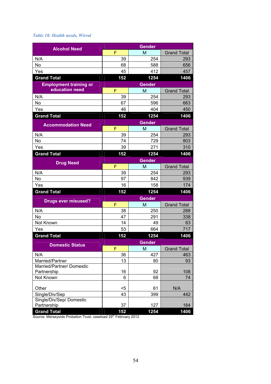## *Table 18: Health needs, Wirral*

|                               |     | <b>Gender</b> |                    |
|-------------------------------|-----|---------------|--------------------|
| <b>Alcohol Need</b>           | F   | M             | <b>Grand Total</b> |
| N/A                           | 39  | 254           | 293                |
| No                            | 68  | 588           | 656                |
| Yes                           | 45  | 412           | 457                |
| <b>Grand Total</b>            | 152 | 1254          | 1406               |
| <b>Employment training or</b> |     | <b>Gender</b> |                    |
| education need                | F   | M             | <b>Grand Total</b> |
| N/A                           | 39  | 254           | 293                |
| No                            | 67  | 596           | 663                |
| Yes                           | 46  | 404           | 450                |
| <b>Grand Total</b>            | 152 | 1254          | 1406               |
| <b>Accommodation Need</b>     |     | <b>Gender</b> |                    |
|                               | F   | M             | <b>Grand Total</b> |
| N/A                           | 39  | 254           | 293                |
| No                            | 74  | 729           | 803                |
| Yes                           | 39  | 271           | 310                |
| <b>Grand Total</b>            | 152 | 1254          | 1406               |
| <b>Drug Need</b>              |     | <b>Gender</b> |                    |
|                               | F   | M             | <b>Grand Total</b> |
| N/A                           | 39  | 254           | 293                |
| No                            | 97  | 842           | 939                |
| Yes                           | 16  | 158           | 174                |
| <b>Grand Total</b>            | 152 | 1254          | 1406               |
| <b>Drugs ever misused?</b>    |     | <b>Gender</b> |                    |
|                               | F   | M             | <b>Grand Total</b> |
| N/A                           | 38  | 250           | 288                |
| No                            | 47  | 291           | 338                |
| Not Known                     | 14  | 49            | 63                 |
| Yes                           | 53  | 664           | 717                |
| <b>Grand Total</b>            | 152 | 1254          | 1406               |
| <b>Domestic Status</b>        |     | <b>Gender</b> |                    |
|                               | F   | M             | <b>Grand Total</b> |
| N/A                           | 36  | 427           | 463                |
| Married/Partner               | 13  | 80            | 93                 |
| Married/Partner/ Domestic     | 16  | 92            | 108                |
| Partnership<br>Not Known      | 6   | 68            | 74                 |
|                               |     |               |                    |
| Other                         | $5$ | 61            | N/A                |
| Single/Div/Sep                | 43  | 399           | 442                |
| Single/Div/Sep/ Domestic      |     |               |                    |
| Partnership                   | 37  | 127           | 164                |
| <b>Grand Total</b>            | 152 | 1254          | 1406               |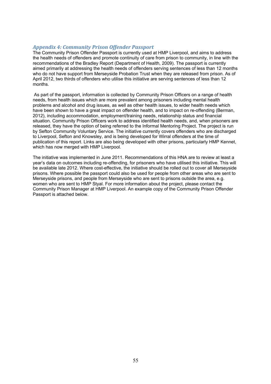## *Appendix 4: Community Prison Offender Passport*

The Community Prison Offender Passport is currently used at HMP Liverpool, and aims to address the health needs of offenders and promote continuity of care from prison to community, in line with the recommendations of the Bradley Report (Department of Health, 2009). The passport is currently aimed primarily at addressing the health needs of offenders serving sentences of less than 12 months who do not have support from Merseyside Probation Trust when they are released from prison. As of April 2012, two thirds of offenders who utilise this initiative are serving sentences of less than 12 months.

 As part of the passport, information is collected by Community Prison Officers on a range of health needs, from health issues which are more prevalent among prisoners including mental health problems and alcohol and drug issues, as well as other health issues, to wider health needs which have been shown to have a great impact on offender health, and to impact on re-offending (Berman, 2012), including accommodation, employment/training needs, relationship status and financial situation. Community Prison Officers work to address identified health needs, and, when prisoners are released, they have the option of being referred to the Informal Mentoring Project. The project is run by Sefton Community Voluntary Service. The initiative currently covers offenders who are discharged to Liverpool, Sefton and Knowsley, and is being developed for Wirral offenders at the time of publication of this report. Links are also being developed with other prisons, particularly HMP Kennet, which has now merged with HMP Liverpool.

The initiative was implemented in June 2011. Recommendations of this HNA are to review at least a year's data on outcomes including re-offending, for prisoners who have utilised this initiative. This will be available late 2012. Where cost-effective, the initiative should be rolled out to cover all Merseyside prisons. Where possible the passport could also be used for people from other areas who are sent to Merseyside prisons, and people from Merseyside who are sent to prisons outside the area, e.g. women who are sent to HMP Styal. For more information about the project, please contact the Community Prison Manager at HMP Liverpool. An example copy of the Community Prison Offender Passport is attached below.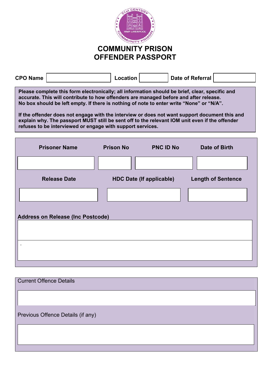

# **COMMUNITY PRISON OFFENDER PASSPORT**

| <b>CPO Name</b>                                                                                                                                                                                                                                                                                                                                                                                                                                                                                                                                      |                      | Location                        |                  | <b>Date of Referral</b>   |  |
|------------------------------------------------------------------------------------------------------------------------------------------------------------------------------------------------------------------------------------------------------------------------------------------------------------------------------------------------------------------------------------------------------------------------------------------------------------------------------------------------------------------------------------------------------|----------------------|---------------------------------|------------------|---------------------------|--|
| Please complete this form electronically; all information should be brief, clear, specific and<br>accurate. This will contribute to how offenders are managed before and after release.<br>No box should be left empty. If there is nothing of note to enter write "None" or "N/A".<br>If the offender does not engage with the interview or does not want support document this and<br>explain why. The passport MUST still be sent off to the relevant IOM unit even if the offender<br>refuses to be interviewed or engage with support services. |                      |                                 |                  |                           |  |
|                                                                                                                                                                                                                                                                                                                                                                                                                                                                                                                                                      | <b>Prisoner Name</b> | <b>Prison No</b>                | <b>PNC ID No</b> | Date of Birth             |  |
|                                                                                                                                                                                                                                                                                                                                                                                                                                                                                                                                                      |                      |                                 |                  |                           |  |
|                                                                                                                                                                                                                                                                                                                                                                                                                                                                                                                                                      | <b>Release Date</b>  | <b>HDC Date (If applicable)</b> |                  | <b>Length of Sentence</b> |  |
|                                                                                                                                                                                                                                                                                                                                                                                                                                                                                                                                                      |                      |                                 |                  |                           |  |
| <b>Address on Release (Inc Postcode)</b>                                                                                                                                                                                                                                                                                                                                                                                                                                                                                                             |                      |                                 |                  |                           |  |
|                                                                                                                                                                                                                                                                                                                                                                                                                                                                                                                                                      |                      |                                 |                  |                           |  |
|                                                                                                                                                                                                                                                                                                                                                                                                                                                                                                                                                      |                      |                                 |                  |                           |  |
|                                                                                                                                                                                                                                                                                                                                                                                                                                                                                                                                                      |                      |                                 |                  |                           |  |

| <b>Current Offence Details</b>    |  |
|-----------------------------------|--|
|                                   |  |
| Previous Offence Details (if any) |  |
|                                   |  |
|                                   |  |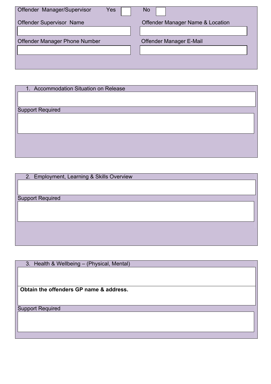| Offender Manager/Supervisor          | Yes | No                               |
|--------------------------------------|-----|----------------------------------|
| <b>Offender Supervisor Name</b>      |     | Offender Manager Name & Location |
| <b>Offender Manager Phone Number</b> |     | Offender Manager E-Mail          |
|                                      |     |                                  |

| 1. Accommodation Situation on Release |  |
|---------------------------------------|--|
|                                       |  |
|                                       |  |
| <b>Support Required</b>               |  |
|                                       |  |
|                                       |  |
|                                       |  |
|                                       |  |
|                                       |  |
|                                       |  |

| 2. Employment, Learning & Skills Overview |  |
|-------------------------------------------|--|
|                                           |  |
|                                           |  |
| <b>Support Required</b>                   |  |
|                                           |  |
|                                           |  |
|                                           |  |
|                                           |  |
|                                           |  |
|                                           |  |

| 3. Health & Wellbeing - (Physical, Mental) |  |
|--------------------------------------------|--|
|                                            |  |
|                                            |  |
|                                            |  |
| Obtain the offenders GP name & address.    |  |
|                                            |  |
|                                            |  |
| <b>Support Required</b>                    |  |
|                                            |  |
|                                            |  |
|                                            |  |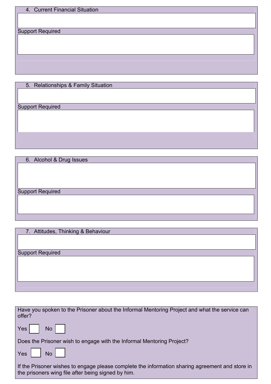|  | 4. Current Financial Situation |  |  |
|--|--------------------------------|--|--|
|--|--------------------------------|--|--|

Support Required

5. Relationships & Family Situation

Support Required

6. Alcohol & Drug Issues

Support Required

7. Attitudes, Thinking & Behaviour

Support Required

| Have you spoken to the Prisoner about the Informal Mentoring Project and what the service can<br>offer?                                               |
|-------------------------------------------------------------------------------------------------------------------------------------------------------|
| $Yes \mid$<br>No                                                                                                                                      |
| Does the Prisoner wish to engage with the Informal Mentoring Project?                                                                                 |
| $Yes$    <br>No I                                                                                                                                     |
| If the Prisoner wishes to engage please complete the information sharing agreement and store in<br>the prisoners wing file after being signed by him. |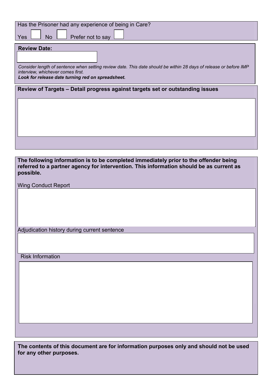| Has the Prisoner had any experience of being in Care?                                                             |
|-------------------------------------------------------------------------------------------------------------------|
| Prefer not to say<br><b>No</b><br><b>Yes</b>                                                                      |
|                                                                                                                   |
| <b>Review Date:</b>                                                                                               |
|                                                                                                                   |
| Consider length of sentence when setting review date. This date should be within 28 days of release or before IMP |
| interview, whichever comes first.                                                                                 |
| Look for release date turning red on spreadsheet.                                                                 |
|                                                                                                                   |
| Review of Targets - Detail progress against targets set or outstanding issues                                     |
|                                                                                                                   |
|                                                                                                                   |
|                                                                                                                   |
|                                                                                                                   |
|                                                                                                                   |
|                                                                                                                   |
|                                                                                                                   |
|                                                                                                                   |
| The following information is to be completed immediately prior to the offender being                              |
| referred to a partner agency for intervention. This information should be as current as                           |
| possible.                                                                                                         |
|                                                                                                                   |
| <b>Wing Conduct Report</b>                                                                                        |
|                                                                                                                   |
|                                                                                                                   |
|                                                                                                                   |
|                                                                                                                   |
|                                                                                                                   |
| Adjudication history during current sentence                                                                      |
|                                                                                                                   |
|                                                                                                                   |
|                                                                                                                   |
| <b>Risk Information</b>                                                                                           |
|                                                                                                                   |
|                                                                                                                   |
|                                                                                                                   |
|                                                                                                                   |
|                                                                                                                   |
|                                                                                                                   |
|                                                                                                                   |
|                                                                                                                   |
|                                                                                                                   |
|                                                                                                                   |
|                                                                                                                   |
|                                                                                                                   |

**The contents of this document are for information purposes only and should not be used for any other purposes.**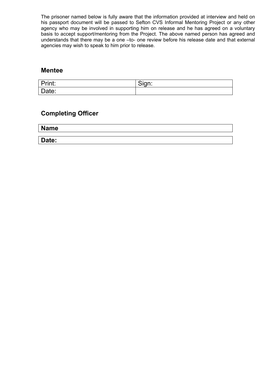The prisoner named below is fully aware that the information provided at interview and held on his passport document will be passed to Sefton CVS Informal Mentoring Project or any other agency who may be involved in supporting him on release and he has agreed on a voluntary basis to accept support/mentoring from the Project. The above named person has agreed and understands that there may be a one –to- one review before his release date and that external agencies may wish to speak to him prior to release.

## **Mentee**

| Print: | $\sim$<br>$\sim$ $\sim$ $\sim$<br>Sign. |
|--------|-----------------------------------------|
| Date:  |                                         |

## **Completing Officer**

**Name** 

**Date:**